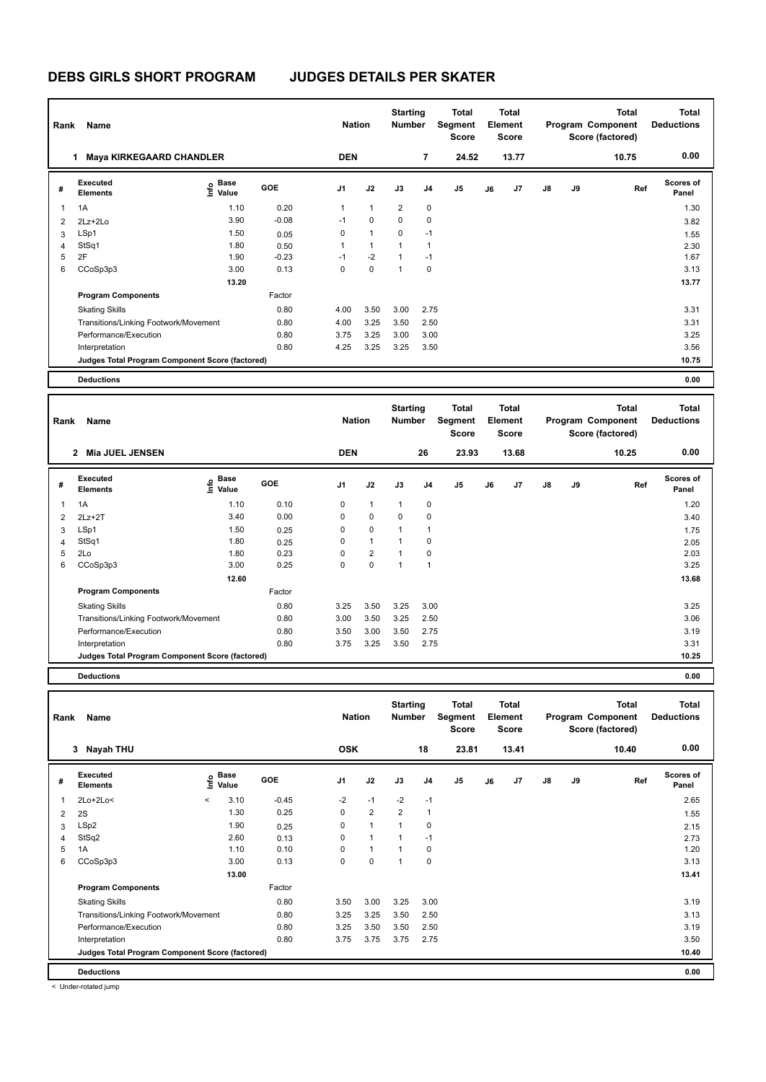| Rank | Name                                            |                   |            | <b>Nation</b>  |                | <b>Starting</b><br><b>Number</b> |                | <b>Total</b><br>Segment<br><b>Score</b> |    | Total<br>Element<br><b>Score</b> |               |    | <b>Total</b><br>Program Component<br>Score (factored) | <b>Total</b><br><b>Deductions</b> |
|------|-------------------------------------------------|-------------------|------------|----------------|----------------|----------------------------------|----------------|-----------------------------------------|----|----------------------------------|---------------|----|-------------------------------------------------------|-----------------------------------|
|      | <b>Maya KIRKEGAARD CHANDLER</b><br>1            |                   |            | <b>DEN</b>     |                |                                  | $\overline{7}$ | 24.52                                   |    | 13.77                            |               |    | 10.75                                                 | 0.00                              |
| #    | Executed<br><b>Elements</b>                     | e Base<br>E Value | <b>GOE</b> | J <sub>1</sub> | J2             | J3                               | J <sub>4</sub> | J <sub>5</sub>                          | J6 | J <sub>7</sub>                   | $\mathsf{J}8$ | J9 | Ref                                                   | <b>Scores of</b><br>Panel         |
| 1    | 1A                                              | 1.10              | 0.20       | 1              | $\mathbf{1}$   | $\overline{2}$                   | 0              |                                         |    |                                  |               |    |                                                       | 1.30                              |
| 2    | 2Lz+2Lo                                         | 3.90              | $-0.08$    | $-1$           | 0              | 0                                | 0              |                                         |    |                                  |               |    |                                                       | 3.82                              |
| 3    | LSp1                                            | 1.50              | 0.05       | 0              | $\mathbf{1}$   | $\Omega$                         | $-1$           |                                         |    |                                  |               |    |                                                       | 1.55                              |
| 4    | StSq1                                           | 1.80              | 0.50       | 1              | $\overline{1}$ | 1                                | $\overline{1}$ |                                         |    |                                  |               |    |                                                       | 2.30                              |
| 5    | 2F                                              | 1.90              | $-0.23$    | $-1$           | $-2$           |                                  | $-1$           |                                         |    |                                  |               |    |                                                       | 1.67                              |
| 6    | CCoSp3p3                                        | 3.00              | 0.13       | 0              | $\mathbf 0$    | 1                                | 0              |                                         |    |                                  |               |    |                                                       | 3.13                              |
|      |                                                 | 13.20             |            |                |                |                                  |                |                                         |    |                                  |               |    |                                                       | 13.77                             |
|      | <b>Program Components</b>                       |                   | Factor     |                |                |                                  |                |                                         |    |                                  |               |    |                                                       |                                   |
|      | <b>Skating Skills</b>                           |                   | 0.80       | 4.00           | 3.50           | 3.00                             | 2.75           |                                         |    |                                  |               |    |                                                       | 3.31                              |
|      | Transitions/Linking Footwork/Movement           |                   | 0.80       | 4.00           | 3.25           | 3.50                             | 2.50           |                                         |    |                                  |               |    |                                                       | 3.31                              |
|      | Performance/Execution                           |                   | 0.80       | 3.75           | 3.25           | 3.00                             | 3.00           |                                         |    |                                  |               |    |                                                       | 3.25                              |
|      | Interpretation                                  |                   | 0.80       | 4.25           | 3.25           | 3.25                             | 3.50           |                                         |    |                                  |               |    |                                                       | 3.56                              |
|      | Judges Total Program Component Score (factored) |                   |            |                |                |                                  |                |                                         |    |                                  |               |    |                                                       | 10.75                             |
|      | <b>Deductions</b>                               |                   |            |                |                |                                  |                |                                         |    |                                  |               |    |                                                       | 0.00                              |

| Rank           | Name                                            |                             |            | <b>Nation</b>  |                | <b>Starting</b><br><b>Number</b> |      | <b>Total</b><br>Segment<br><b>Score</b> |    | <b>Total</b><br>Element<br><b>Score</b> |               |    | Total<br>Program Component<br>Score (factored) | <b>Total</b><br><b>Deductions</b> |
|----------------|-------------------------------------------------|-----------------------------|------------|----------------|----------------|----------------------------------|------|-----------------------------------------|----|-----------------------------------------|---------------|----|------------------------------------------------|-----------------------------------|
|                | <b>Mia JUEL JENSEN</b><br>$\mathbf{2}$          |                             |            | <b>DEN</b>     |                |                                  | 26   | 23.93                                   |    | 13.68                                   |               |    | 10.25                                          | 0.00                              |
| #              | Executed<br><b>Elements</b>                     | Base<br>$\frac{e}{E}$ Value | <b>GOE</b> | J <sub>1</sub> | J2             | J3                               | J4   | J <sub>5</sub>                          | J6 | J7                                      | $\mathsf{J}8$ | J9 | Ref                                            | <b>Scores of</b><br>Panel         |
| 1              | 1A                                              | 1.10                        | 0.10       | 0              | $\mathbf{1}$   | $\mathbf{1}$                     | 0    |                                         |    |                                         |               |    |                                                | 1.20                              |
| $\overline{2}$ | $2Lz+2T$                                        | 3.40                        | 0.00       | 0              | $\mathbf 0$    | 0                                | 0    |                                         |    |                                         |               |    |                                                | 3.40                              |
| 3              | LSp1                                            | 1.50                        | 0.25       | 0              | $\mathbf 0$    | 1                                |      |                                         |    |                                         |               |    |                                                | 1.75                              |
| 4              | StSq1                                           | 1.80                        | 0.25       | 0              | $\mathbf{1}$   |                                  | 0    |                                         |    |                                         |               |    |                                                | 2.05                              |
| 5              | 2Lo                                             | 1.80                        | 0.23       | 0              | $\overline{2}$ | $\overline{1}$                   | 0    |                                         |    |                                         |               |    |                                                | 2.03                              |
| 6              | CCoSp3p3                                        | 3.00                        | 0.25       | 0              | $\mathbf 0$    | 1                                |      |                                         |    |                                         |               |    |                                                | 3.25                              |
|                |                                                 | 12.60                       |            |                |                |                                  |      |                                         |    |                                         |               |    |                                                | 13.68                             |
|                | <b>Program Components</b>                       |                             | Factor     |                |                |                                  |      |                                         |    |                                         |               |    |                                                |                                   |
|                | <b>Skating Skills</b>                           |                             | 0.80       | 3.25           | 3.50           | 3.25                             | 3.00 |                                         |    |                                         |               |    |                                                | 3.25                              |
|                | Transitions/Linking Footwork/Movement           |                             | 0.80       | 3.00           | 3.50           | 3.25                             | 2.50 |                                         |    |                                         |               |    |                                                | 3.06                              |
|                | Performance/Execution                           |                             | 0.80       | 3.50           | 3.00           | 3.50                             | 2.75 |                                         |    |                                         |               |    |                                                | 3.19                              |
|                | Interpretation                                  |                             | 0.80       | 3.75           | 3.25           | 3.50                             | 2.75 |                                         |    |                                         |               |    |                                                | 3.31                              |
|                | Judges Total Program Component Score (factored) |                             |            |                |                |                                  |      |                                         |    |                                         |               |    |                                                | 10.25                             |

**Deductions 0.00**

**Total Deductions Total Program Component Score (factored) Total Element Segment Score Total Score Starting Rank Name Nation Number # Executed Elements Base Value GOE J1 J2 J3 J4 J5 J6 J7 J8 J9 Scores of Panel** 1 2Lo+2Lo< < 3.10 -0.45 -2 -1 -2 -1 **Ref**  2Lo+2Lo< < 2.65 **Info 3 Nayah THU OSK 18 23.81 13.41 10.40 0.00** 2 2S 1.30 0.25 0 2 2 1 1.55 3 LSp2 1.90 0.25 0 1 1 0 2.15 4 StSq2 2.60 0.13 0 1 1 -1 2.73 5 1A 1.10 0.10 0 1 1 0 1.20 6 CCoSp3p3 3.00 0.13 0 0 1 0 3.13  **13.00** 13.41 **Program Components**  Skating Skills 3.50 3.00 3.25 3.00 Factor 0.80 3.19 Transitions/Linking Footwork/Movement 0.80 3.25 3.25 3.50 2.50 3.13 Performance/Execution 0.80 3.25 3.50 3.50 2.50 3.19 Interpretation 0.80 3.75 3.75 3.75 2.75 3.75 3.75 3.75 2.75 3.50 **Deductions 0.00 Judges Total Program Component Score (factored) 10.40**

< Under-rotated jump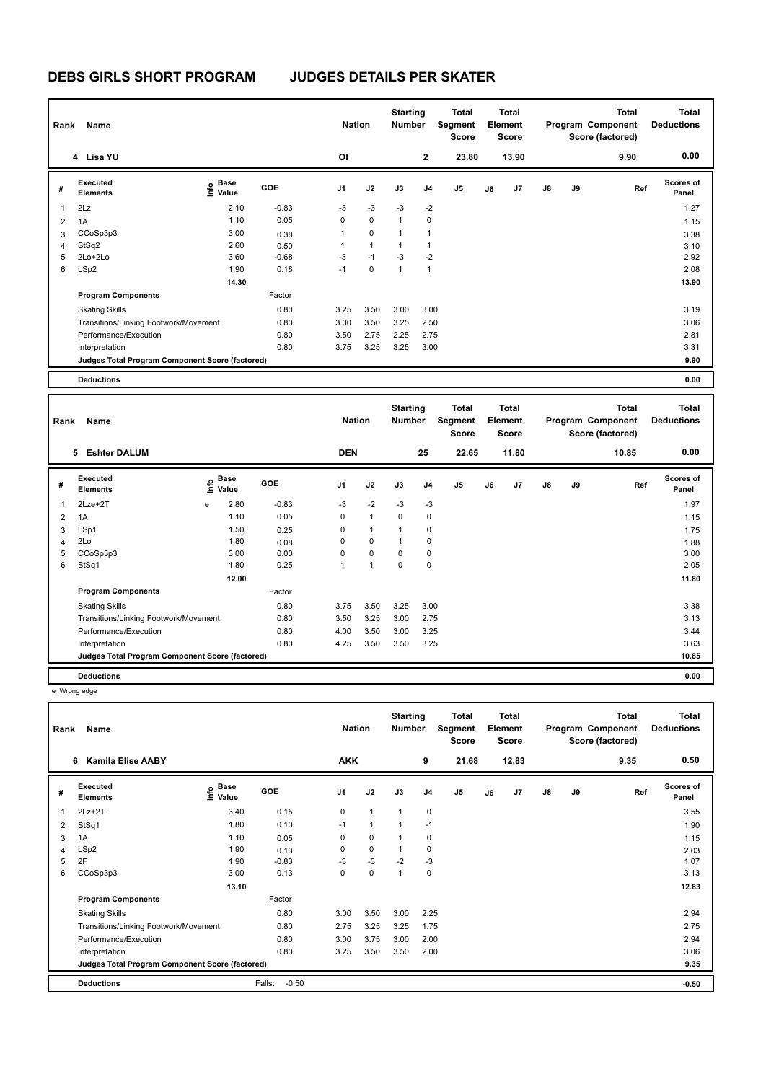| Rank | Name                                            |                                           |            | <b>Nation</b>  |              | <b>Starting</b><br><b>Number</b> |                | Total<br>Segment<br><b>Score</b> |    | Total<br>Element<br><b>Score</b> |               |    | <b>Total</b><br>Program Component<br>Score (factored) | <b>Total</b><br><b>Deductions</b> |
|------|-------------------------------------------------|-------------------------------------------|------------|----------------|--------------|----------------------------------|----------------|----------------------------------|----|----------------------------------|---------------|----|-------------------------------------------------------|-----------------------------------|
|      | 4 Lisa YU                                       |                                           |            | <b>OI</b>      |              |                                  | $\mathbf{2}$   | 23.80                            |    | 13.90                            |               |    | 9.90                                                  | 0.00                              |
| #    | Executed<br><b>Elements</b>                     | $\frac{6}{5}$ Base<br>$\frac{1}{5}$ Value | <b>GOE</b> | J <sub>1</sub> | J2           | J3                               | J <sub>4</sub> | J <sub>5</sub>                   | J6 | J7                               | $\mathsf{J}8$ | J9 | Ref                                                   | <b>Scores of</b><br>Panel         |
| 1    | 2Lz                                             | 2.10                                      | $-0.83$    | $-3$           | $-3$         | $-3$                             | $-2$           |                                  |    |                                  |               |    |                                                       | 1.27                              |
| 2    | 1A                                              | 1.10                                      | 0.05       | 0              | $\mathbf 0$  | $\mathbf{1}$                     | 0              |                                  |    |                                  |               |    |                                                       | 1.15                              |
| 3    | CCoSp3p3                                        | 3.00                                      | 0.38       | 1              | $\mathbf 0$  | $\mathbf{1}$                     | 1              |                                  |    |                                  |               |    |                                                       | 3.38                              |
| 4    | StSq2                                           | 2.60                                      | 0.50       | 1              | $\mathbf{1}$ | 1                                | 1              |                                  |    |                                  |               |    |                                                       | 3.10                              |
| 5    | $2Lo+2Lo$                                       | 3.60                                      | $-0.68$    | $-3$           | $-1$         | $-3$                             | $-2$           |                                  |    |                                  |               |    |                                                       | 2.92                              |
| 6    | LSp2                                            | 1.90                                      | 0.18       | $-1$           | $\mathbf 0$  | 1                                | 1              |                                  |    |                                  |               |    |                                                       | 2.08                              |
|      |                                                 | 14.30                                     |            |                |              |                                  |                |                                  |    |                                  |               |    |                                                       | 13.90                             |
|      | <b>Program Components</b>                       |                                           | Factor     |                |              |                                  |                |                                  |    |                                  |               |    |                                                       |                                   |
|      | <b>Skating Skills</b>                           |                                           | 0.80       | 3.25           | 3.50         | 3.00                             | 3.00           |                                  |    |                                  |               |    |                                                       | 3.19                              |
|      | Transitions/Linking Footwork/Movement           |                                           | 0.80       | 3.00           | 3.50         | 3.25                             | 2.50           |                                  |    |                                  |               |    |                                                       | 3.06                              |
|      | Performance/Execution                           |                                           | 0.80       | 3.50           | 2.75         | 2.25                             | 2.75           |                                  |    |                                  |               |    |                                                       | 2.81                              |
|      | Interpretation                                  |                                           | 0.80       | 3.75           | 3.25         | 3.25                             | 3.00           |                                  |    |                                  |               |    |                                                       | 3.31                              |
|      | Judges Total Program Component Score (factored) |                                           |            |                |              |                                  |                |                                  |    |                                  |               |    |                                                       | 9.90                              |
|      | <b>Deductions</b>                               |                                           |            |                |              |                                  |                |                                  |    |                                  |               |    |                                                       | 0.00                              |

| Rank           | Name                                            |    |                      |            | <b>Nation</b>  |                | <b>Starting</b><br><b>Number</b> |                | <b>Total</b><br>Segment<br><b>Score</b> |    | Total<br>Element<br><b>Score</b> |               |    | <b>Total</b><br>Program Component<br>Score (factored) | Total<br><b>Deductions</b> |
|----------------|-------------------------------------------------|----|----------------------|------------|----------------|----------------|----------------------------------|----------------|-----------------------------------------|----|----------------------------------|---------------|----|-------------------------------------------------------|----------------------------|
|                | <b>Eshter DALUM</b><br>5                        |    |                      |            | <b>DEN</b>     |                |                                  | 25             | 22.65                                   |    | 11.80                            |               |    | 10.85                                                 | 0.00                       |
| #              | Executed<br><b>Elements</b>                     | ۴٥ | <b>Base</b><br>Value | <b>GOE</b> | J <sub>1</sub> | J2             | J3                               | J <sub>4</sub> | J <sub>5</sub>                          | J6 | J7                               | $\mathsf{J}8$ | J9 | Ref                                                   | <b>Scores of</b><br>Panel  |
| 1              | 2Lze+2T                                         | e  | 2.80                 | $-0.83$    | $-3$           | $-2$           | $-3$                             | $-3$           |                                         |    |                                  |               |    |                                                       | 1.97                       |
| $\overline{2}$ | 1A                                              |    | 1.10                 | 0.05       | 0              | $\mathbf{1}$   | $\Omega$                         | 0              |                                         |    |                                  |               |    |                                                       | 1.15                       |
| 3              | LSp1                                            |    | 1.50                 | 0.25       | 0              | $\mathbf{1}$   | $\overline{1}$                   | 0              |                                         |    |                                  |               |    |                                                       | 1.75                       |
| $\overline{4}$ | 2Lo                                             |    | 1.80                 | 0.08       | 0              | 0              | 1                                | 0              |                                         |    |                                  |               |    |                                                       | 1.88                       |
| 5              | CCoSp3p3                                        |    | 3.00                 | 0.00       | $\Omega$       | $\mathbf 0$    | $\Omega$                         | 0              |                                         |    |                                  |               |    |                                                       | 3.00                       |
| 6              | StSq1                                           |    | 1.80                 | 0.25       | 1              | $\overline{1}$ | 0                                | $\mathbf 0$    |                                         |    |                                  |               |    |                                                       | 2.05                       |
|                |                                                 |    | 12.00                |            |                |                |                                  |                |                                         |    |                                  |               |    |                                                       | 11.80                      |
|                | <b>Program Components</b>                       |    |                      | Factor     |                |                |                                  |                |                                         |    |                                  |               |    |                                                       |                            |
|                | <b>Skating Skills</b>                           |    |                      | 0.80       | 3.75           | 3.50           | 3.25                             | 3.00           |                                         |    |                                  |               |    |                                                       | 3.38                       |
|                | Transitions/Linking Footwork/Movement           |    |                      | 0.80       | 3.50           | 3.25           | 3.00                             | 2.75           |                                         |    |                                  |               |    |                                                       | 3.13                       |
|                | Performance/Execution                           |    |                      | 0.80       | 4.00           | 3.50           | 3.00                             | 3.25           |                                         |    |                                  |               |    |                                                       | 3.44                       |
|                | Interpretation                                  |    |                      | 0.80       | 4.25           | 3.50           | 3.50                             | 3.25           |                                         |    |                                  |               |    |                                                       | 3.63                       |
|                | Judges Total Program Component Score (factored) |    |                      |            |                |                |                                  |                |                                         |    |                                  |               |    |                                                       | 10.85                      |
|                | <b>Deductions</b>                               |    |                      |            |                |                |                                  |                |                                         |    |                                  |               |    |                                                       | 0.00                       |

e Wrong edge

| Rank | Name                                            |                                             |                   | <b>Nation</b>  |              | <b>Starting</b><br><b>Number</b> |                | <b>Total</b><br>Segment<br><b>Score</b> |    | <b>Total</b><br>Element<br><b>Score</b> |               |    | Total<br>Program Component<br>Score (factored) | <b>Total</b><br><b>Deductions</b> |
|------|-------------------------------------------------|---------------------------------------------|-------------------|----------------|--------------|----------------------------------|----------------|-----------------------------------------|----|-----------------------------------------|---------------|----|------------------------------------------------|-----------------------------------|
|      | <b>Kamila Elise AABY</b><br>6                   |                                             |                   | <b>AKK</b>     |              |                                  | 9              | 21.68                                   |    | 12.83                                   |               |    | 9.35                                           | 0.50                              |
| #    | <b>Executed</b><br><b>Elements</b>              | <b>Base</b><br>e <sup>Base</sup><br>⊆ Value | <b>GOE</b>        | J <sub>1</sub> | J2           | J3                               | J <sub>4</sub> | J <sub>5</sub>                          | J6 | J <sub>7</sub>                          | $\mathsf{J}8$ | J9 | Ref                                            | <b>Scores of</b><br>Panel         |
| 1    | $2Lz+2T$                                        | 3.40                                        | 0.15              | 0              | $\mathbf{1}$ | 1                                | $\mathbf 0$    |                                         |    |                                         |               |    |                                                | 3.55                              |
| 2    | StSq1                                           | 1.80                                        | 0.10              | $-1$           | $\mathbf{1}$ |                                  | $-1$           |                                         |    |                                         |               |    |                                                | 1.90                              |
| 3    | 1A                                              | 1.10                                        | 0.05              | 0              | $\mathbf 0$  | 1                                | $\mathbf 0$    |                                         |    |                                         |               |    |                                                | 1.15                              |
| 4    | LSp2                                            | 1.90                                        | 0.13              | 0              | $\mathbf 0$  | 1                                | 0              |                                         |    |                                         |               |    |                                                | 2.03                              |
| 5    | 2F                                              | 1.90                                        | $-0.83$           | $-3$           | $-3$         | $-2$                             | $-3$           |                                         |    |                                         |               |    |                                                | 1.07                              |
| 6    | CCoSp3p3                                        | 3.00                                        | 0.13              | 0              | $\pmb{0}$    | 1                                | $\mathbf 0$    |                                         |    |                                         |               |    |                                                | 3.13                              |
|      |                                                 | 13.10                                       |                   |                |              |                                  |                |                                         |    |                                         |               |    |                                                | 12.83                             |
|      | <b>Program Components</b>                       |                                             | Factor            |                |              |                                  |                |                                         |    |                                         |               |    |                                                |                                   |
|      | <b>Skating Skills</b>                           |                                             | 0.80              | 3.00           | 3.50         | 3.00                             | 2.25           |                                         |    |                                         |               |    |                                                | 2.94                              |
|      | Transitions/Linking Footwork/Movement           |                                             | 0.80              | 2.75           | 3.25         | 3.25                             | 1.75           |                                         |    |                                         |               |    |                                                | 2.75                              |
|      | Performance/Execution                           |                                             | 0.80              | 3.00           | 3.75         | 3.00                             | 2.00           |                                         |    |                                         |               |    |                                                | 2.94                              |
|      | Interpretation                                  |                                             | 0.80              | 3.25           | 3.50         | 3.50                             | 2.00           |                                         |    |                                         |               |    |                                                | 3.06                              |
|      | Judges Total Program Component Score (factored) |                                             |                   |                |              |                                  |                |                                         |    |                                         |               |    |                                                | 9.35                              |
|      | <b>Deductions</b>                               |                                             | $-0.50$<br>Falls: |                |              |                                  |                |                                         |    |                                         |               |    |                                                | $-0.50$                           |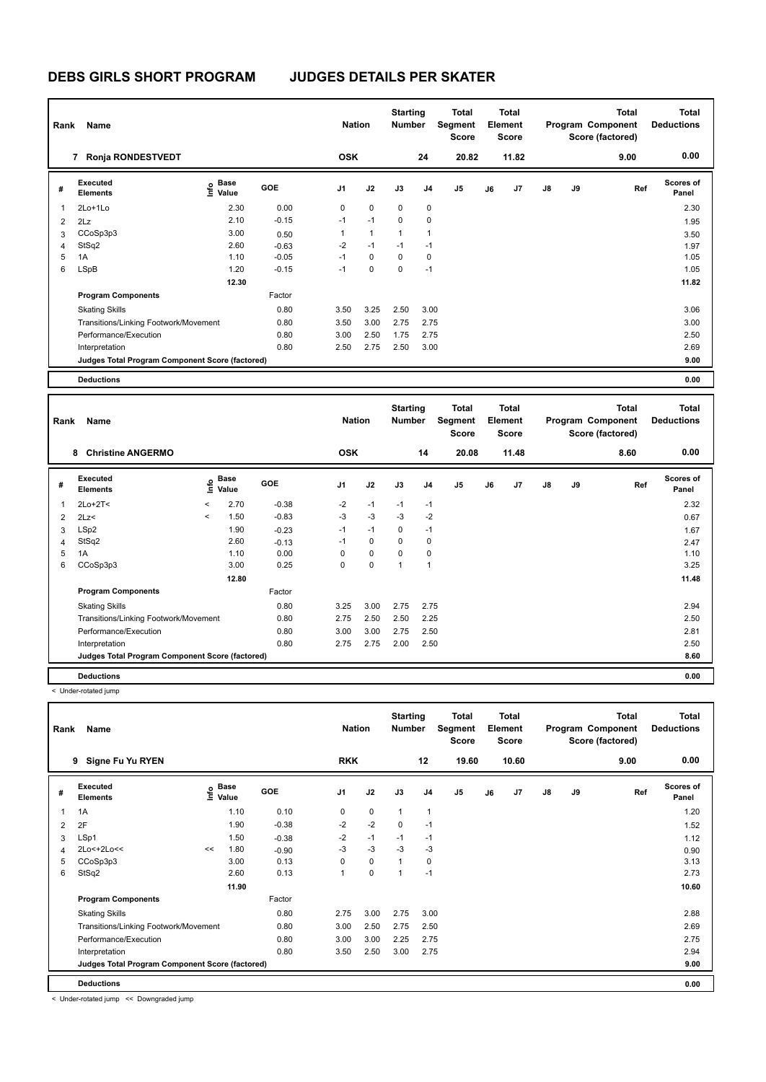# **DEBS GIRLS SHORT PROGRAM JUDGES DETAILS PER SKATER**

|   | Name<br>Rank<br><b>Ronja RONDESTVEDT</b><br>7   |                                     |            |                | <b>Nation</b>  | <b>Starting</b><br><b>Number</b> |                | Total<br>Segment<br><b>Score</b> |    | <b>Total</b><br>Element<br><b>Score</b> |               |    | <b>Total</b><br>Program Component<br>Score (factored) | Total<br><b>Deductions</b> |
|---|-------------------------------------------------|-------------------------------------|------------|----------------|----------------|----------------------------------|----------------|----------------------------------|----|-----------------------------------------|---------------|----|-------------------------------------------------------|----------------------------|
|   |                                                 |                                     |            | <b>OSK</b>     |                |                                  | 24             | 20.82                            |    | 11.82                                   |               |    | 9.00                                                  | 0.00                       |
| # | Executed<br><b>Elements</b>                     | $\epsilon$ Base<br>$\epsilon$ Value | <b>GOE</b> | J <sub>1</sub> | J2             | J3                               | J <sub>4</sub> | J5                               | J6 | J7                                      | $\mathsf{J}8$ | J9 | Ref                                                   | <b>Scores of</b><br>Panel  |
| 1 | 2Lo+1Lo                                         | 2.30                                | 0.00       | 0              | $\mathbf 0$    | 0                                | 0              |                                  |    |                                         |               |    |                                                       | 2.30                       |
| 2 | 2Lz                                             | 2.10                                | $-0.15$    | $-1$           | $-1$           | 0                                | 0              |                                  |    |                                         |               |    |                                                       | 1.95                       |
| 3 | CCoSp3p3                                        | 3.00                                | 0.50       | 1              | $\overline{1}$ | 1                                | $\overline{1}$ |                                  |    |                                         |               |    |                                                       | 3.50                       |
| 4 | StSq2                                           | 2.60                                | $-0.63$    | $-2$           | $-1$           | $-1$                             | $-1$           |                                  |    |                                         |               |    |                                                       | 1.97                       |
| 5 | 1A                                              | 1.10                                | $-0.05$    | $-1$           | 0              | 0                                | 0              |                                  |    |                                         |               |    |                                                       | 1.05                       |
| 6 | <b>LSpB</b>                                     | 1.20                                | $-0.15$    | $-1$           | $\mathbf 0$    | 0                                | $-1$           |                                  |    |                                         |               |    |                                                       | 1.05                       |
|   |                                                 | 12.30                               |            |                |                |                                  |                |                                  |    |                                         |               |    |                                                       | 11.82                      |
|   | <b>Program Components</b>                       |                                     | Factor     |                |                |                                  |                |                                  |    |                                         |               |    |                                                       |                            |
|   | <b>Skating Skills</b>                           |                                     | 0.80       | 3.50           | 3.25           | 2.50                             | 3.00           |                                  |    |                                         |               |    |                                                       | 3.06                       |
|   | Transitions/Linking Footwork/Movement           |                                     | 0.80       | 3.50           | 3.00           | 2.75                             | 2.75           |                                  |    |                                         |               |    |                                                       | 3.00                       |
|   | Performance/Execution                           |                                     | 0.80       | 3.00           | 2.50           | 1.75                             | 2.75           |                                  |    |                                         |               |    |                                                       | 2.50                       |
|   | Interpretation                                  |                                     | 0.80       | 2.50           | 2.75           | 2.50                             | 3.00           |                                  |    |                                         |               |    |                                                       | 2.69                       |
|   | Judges Total Program Component Score (factored) |                                     |            |                |                |                                  |                |                                  |    |                                         |               |    |                                                       | 9.00                       |
|   | <b>Deductions</b>                               |                                     |            |                |                |                                  |                |                                  |    |                                         |               |    |                                                       | 0.00                       |

| Rank           | Name                                            |                          |                                  |            | <b>Nation</b>  |             | <b>Starting</b><br><b>Number</b> |                | Total<br>Segment<br><b>Score</b> |    | <b>Total</b><br>Element<br><b>Score</b> |               |    | <b>Total</b><br>Program Component<br>Score (factored) | Total<br><b>Deductions</b> |
|----------------|-------------------------------------------------|--------------------------|----------------------------------|------------|----------------|-------------|----------------------------------|----------------|----------------------------------|----|-----------------------------------------|---------------|----|-------------------------------------------------------|----------------------------|
|                | <b>Christine ANGERMO</b><br>8                   |                          |                                  |            | <b>OSK</b>     |             |                                  | 14             | 20.08                            |    | 11.48                                   |               |    | 8.60                                                  | 0.00                       |
| #              | Executed<br><b>Elements</b>                     |                          | <b>Base</b><br>e Base<br>⊆ Value | <b>GOE</b> | J <sub>1</sub> | J2          | J3                               | J <sub>4</sub> | J <sub>5</sub>                   | J6 | J <sub>7</sub>                          | $\mathsf{J}8$ | J9 | Ref                                                   | <b>Scores of</b><br>Panel  |
| 1              | $2Lo+2T<$                                       | $\overline{\phantom{a}}$ | 2.70                             | $-0.38$    | $-2$           | $-1$        | $-1$                             | $-1$           |                                  |    |                                         |               |    |                                                       | 2.32                       |
| 2              | 2Lz<                                            | $\overline{\phantom{0}}$ | 1.50                             | $-0.83$    | $-3$           | $-3$        | $-3$                             | $-2$           |                                  |    |                                         |               |    |                                                       | 0.67                       |
| 3              | LSp2                                            |                          | 1.90                             | $-0.23$    | $-1$           | $-1$        | 0                                | $-1$           |                                  |    |                                         |               |    |                                                       | 1.67                       |
| $\overline{4}$ | StSq2                                           |                          | 2.60                             | $-0.13$    | $-1$           | 0           | $\Omega$                         | 0              |                                  |    |                                         |               |    |                                                       | 2.47                       |
| 5              | 1A                                              |                          | 1.10                             | 0.00       | $\Omega$       | $\mathbf 0$ | $\Omega$                         | 0              |                                  |    |                                         |               |    |                                                       | 1.10                       |
| 6              | CCoSp3p3                                        |                          | 3.00                             | 0.25       | 0              | $\mathbf 0$ | 1                                |                |                                  |    |                                         |               |    |                                                       | 3.25                       |
|                |                                                 |                          | 12.80                            |            |                |             |                                  |                |                                  |    |                                         |               |    |                                                       | 11.48                      |
|                | <b>Program Components</b>                       |                          |                                  | Factor     |                |             |                                  |                |                                  |    |                                         |               |    |                                                       |                            |
|                | <b>Skating Skills</b>                           |                          |                                  | 0.80       | 3.25           | 3.00        | 2.75                             | 2.75           |                                  |    |                                         |               |    |                                                       | 2.94                       |
|                | Transitions/Linking Footwork/Movement           |                          |                                  | 0.80       | 2.75           | 2.50        | 2.50                             | 2.25           |                                  |    |                                         |               |    |                                                       | 2.50                       |
|                | Performance/Execution                           |                          |                                  | 0.80       | 3.00           | 3.00        | 2.75                             | 2.50           |                                  |    |                                         |               |    |                                                       | 2.81                       |
|                | Interpretation                                  |                          |                                  | 0.80       | 2.75           | 2.75        | 2.00                             | 2.50           |                                  |    |                                         |               |    |                                                       | 2.50                       |
|                | Judges Total Program Component Score (factored) |                          |                                  |            |                |             |                                  |                |                                  |    |                                         |               |    |                                                       | 8.60                       |
|                | <b>Deductions</b>                               |                          |                                  |            |                |             |                                  |                |                                  |    |                                         |               |    |                                                       | 0.00                       |

< Under-rotated jump

| Rank | Name                                            |    |                                             |            | <b>Nation</b>  |             | <b>Starting</b><br><b>Number</b> |                | <b>Total</b><br>Segment<br><b>Score</b> |    | <b>Total</b><br>Element<br><b>Score</b> |               |    | Total<br>Program Component<br>Score (factored) | <b>Total</b><br><b>Deductions</b> |
|------|-------------------------------------------------|----|---------------------------------------------|------------|----------------|-------------|----------------------------------|----------------|-----------------------------------------|----|-----------------------------------------|---------------|----|------------------------------------------------|-----------------------------------|
|      | 9<br>Signe Fu Yu RYEN                           |    |                                             |            | <b>RKK</b>     |             |                                  | 12             | 19.60                                   |    | 10.60                                   |               |    | 9.00                                           | 0.00                              |
| #    | <b>Executed</b><br><b>Elements</b>              |    | <b>Base</b><br>e <sup>Base</sup><br>⊆ Value | <b>GOE</b> | J <sub>1</sub> | J2          | J3                               | J <sub>4</sub> | J <sub>5</sub>                          | J6 | J <sub>7</sub>                          | $\mathsf{J}8$ | J9 | Ref                                            | <b>Scores of</b><br>Panel         |
| 1    | 1A                                              |    | 1.10                                        | 0.10       | 0              | $\mathbf 0$ | $\mathbf{1}$                     | $\mathbf{1}$   |                                         |    |                                         |               |    |                                                | 1.20                              |
| 2    | 2F                                              |    | 1.90                                        | $-0.38$    | $-2$           | $-2$        | 0                                | $-1$           |                                         |    |                                         |               |    |                                                | 1.52                              |
| 3    | LSp1                                            |    | 1.50                                        | $-0.38$    | $-2$           | $-1$        | $-1$                             | $-1$           |                                         |    |                                         |               |    |                                                | 1.12                              |
| 4    | $2Lo<+2Lo<$                                     | << | 1.80                                        | $-0.90$    | $-3$           | $-3$        | $-3$                             | $-3$           |                                         |    |                                         |               |    |                                                | 0.90                              |
| 5    | CCoSp3p3                                        |    | 3.00                                        | 0.13       | 0              | $\mathbf 0$ | $\mathbf{1}$                     | 0              |                                         |    |                                         |               |    |                                                | 3.13                              |
| 6    | StSq2                                           |    | 2.60                                        | 0.13       | $\mathbf{1}$   | $\pmb{0}$   |                                  | $-1$           |                                         |    |                                         |               |    |                                                | 2.73                              |
|      |                                                 |    | 11.90                                       |            |                |             |                                  |                |                                         |    |                                         |               |    |                                                | 10.60                             |
|      | <b>Program Components</b>                       |    |                                             | Factor     |                |             |                                  |                |                                         |    |                                         |               |    |                                                |                                   |
|      | <b>Skating Skills</b>                           |    |                                             | 0.80       | 2.75           | 3.00        | 2.75                             | 3.00           |                                         |    |                                         |               |    |                                                | 2.88                              |
|      | Transitions/Linking Footwork/Movement           |    |                                             | 0.80       | 3.00           | 2.50        | 2.75                             | 2.50           |                                         |    |                                         |               |    |                                                | 2.69                              |
|      | Performance/Execution                           |    |                                             | 0.80       | 3.00           | 3.00        | 2.25                             | 2.75           |                                         |    |                                         |               |    |                                                | 2.75                              |
|      | Interpretation                                  |    |                                             | 0.80       | 3.50           | 2.50        | 3.00                             | 2.75           |                                         |    |                                         |               |    |                                                | 2.94                              |
|      | Judges Total Program Component Score (factored) |    |                                             |            |                |             |                                  |                |                                         |    |                                         |               |    |                                                | 9.00                              |
|      | <b>Deductions</b>                               |    |                                             |            |                |             |                                  |                |                                         |    |                                         |               |    |                                                | 0.00                              |

< Under-rotated jump << Downgraded jump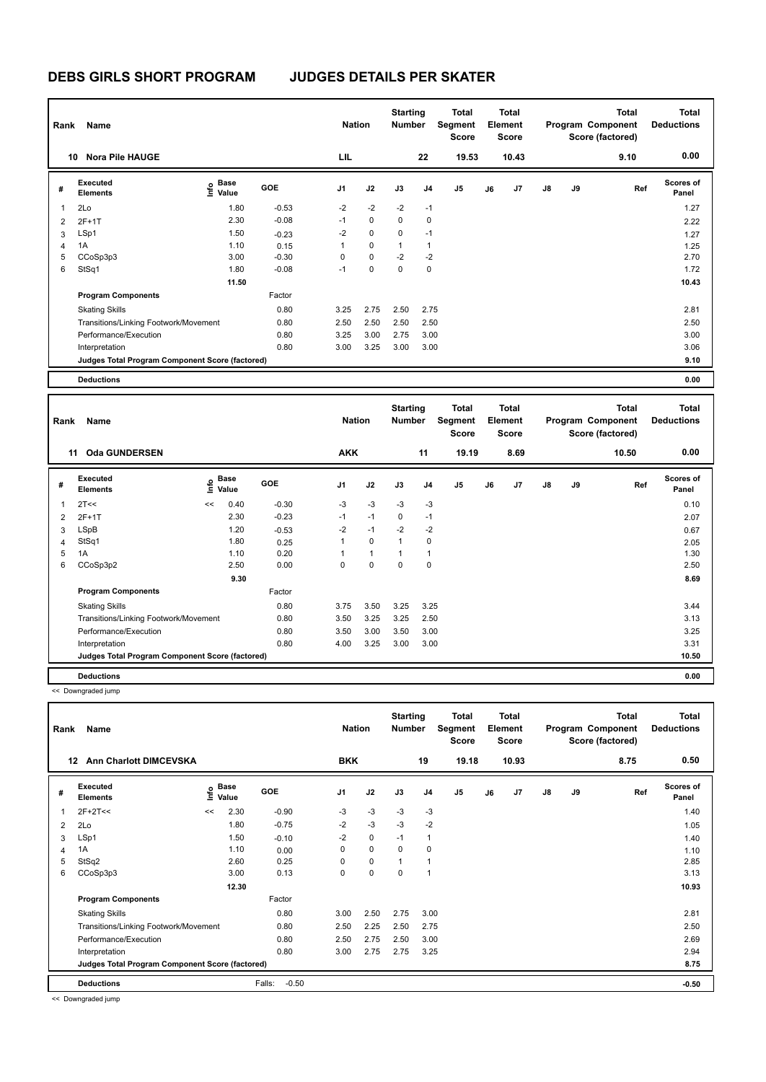| Rank | Name                                            |                   |            | <b>Nation</b>  |             | <b>Starting</b><br><b>Number</b> |                         | <b>Total</b><br>Segment<br><b>Score</b> |    | Total<br>Element<br><b>Score</b> |               |    | <b>Total</b><br>Program Component<br>Score (factored) | Total<br><b>Deductions</b> |
|------|-------------------------------------------------|-------------------|------------|----------------|-------------|----------------------------------|-------------------------|-----------------------------------------|----|----------------------------------|---------------|----|-------------------------------------------------------|----------------------------|
|      | <b>Nora Pile HAUGE</b><br>10                    |                   |            | LIL            |             |                                  | 22                      | 19.53                                   |    | 10.43                            |               |    | 9.10                                                  | 0.00                       |
| #    | Executed<br><b>Elements</b>                     | e Base<br>E Value | <b>GOE</b> | J <sub>1</sub> | J2          | J3                               | J <sub>4</sub>          | J <sub>5</sub>                          | J6 | J <sub>7</sub>                   | $\mathsf{J}8$ | J9 | Ref                                                   | <b>Scores of</b><br>Panel  |
| 1    | 2Lo                                             | 1.80              | $-0.53$    | $-2$           | $-2$        | $-2$                             | $-1$                    |                                         |    |                                  |               |    |                                                       | 1.27                       |
| 2    | $2F+1T$                                         | 2.30              | $-0.08$    | $-1$           | $\mathbf 0$ | 0                                | 0                       |                                         |    |                                  |               |    |                                                       | 2.22                       |
| 3    | LSp1                                            | 1.50              | $-0.23$    | $-2$           | $\mathbf 0$ | $\Omega$                         | $-1$                    |                                         |    |                                  |               |    |                                                       | 1.27                       |
| 4    | 1A                                              | 1.10              | 0.15       | 1              | $\mathbf 0$ | 1                                | $\overline{\mathbf{1}}$ |                                         |    |                                  |               |    |                                                       | 1.25                       |
| 5    | CCoSp3p3                                        | 3.00              | $-0.30$    | 0              | $\mathbf 0$ | $-2$                             | $-2$                    |                                         |    |                                  |               |    |                                                       | 2.70                       |
| 6    | StSq1                                           | 1.80              | $-0.08$    | $-1$           | $\mathbf 0$ | $\Omega$                         | 0                       |                                         |    |                                  |               |    |                                                       | 1.72                       |
|      |                                                 | 11.50             |            |                |             |                                  |                         |                                         |    |                                  |               |    |                                                       | 10.43                      |
|      | <b>Program Components</b>                       |                   | Factor     |                |             |                                  |                         |                                         |    |                                  |               |    |                                                       |                            |
|      | <b>Skating Skills</b>                           |                   | 0.80       | 3.25           | 2.75        | 2.50                             | 2.75                    |                                         |    |                                  |               |    |                                                       | 2.81                       |
|      | Transitions/Linking Footwork/Movement           |                   | 0.80       | 2.50           | 2.50        | 2.50                             | 2.50                    |                                         |    |                                  |               |    |                                                       | 2.50                       |
|      | Performance/Execution                           |                   | 0.80       | 3.25           | 3.00        | 2.75                             | 3.00                    |                                         |    |                                  |               |    |                                                       | 3.00                       |
|      | Interpretation                                  |                   | 0.80       | 3.00           | 3.25        | 3.00                             | 3.00                    |                                         |    |                                  |               |    |                                                       | 3.06                       |
|      | Judges Total Program Component Score (factored) |                   |            |                |             |                                  |                         |                                         |    |                                  |               |    |                                                       | 9.10                       |
|      | <b>Deductions</b>                               |                   |            |                |             |                                  |                         |                                         |    |                                  |               |    |                                                       | 0.00                       |

| Rank           | Name                                            |    |                                  |            | <b>Nation</b>  |              | <b>Starting</b><br><b>Number</b> |                | Total<br>Segment<br><b>Score</b> |    | <b>Total</b><br>Element<br><b>Score</b> |               |    | <b>Total</b><br>Program Component<br>Score (factored) | <b>Total</b><br><b>Deductions</b> |
|----------------|-------------------------------------------------|----|----------------------------------|------------|----------------|--------------|----------------------------------|----------------|----------------------------------|----|-----------------------------------------|---------------|----|-------------------------------------------------------|-----------------------------------|
|                | <b>Oda GUNDERSEN</b><br>11                      |    |                                  |            | <b>AKK</b>     |              |                                  | 11             | 19.19                            |    | 8.69                                    |               |    | 10.50                                                 | 0.00                              |
| #              | Executed<br><b>Elements</b>                     |    | <b>Base</b><br>e Base<br>⊆ Value | <b>GOE</b> | J <sub>1</sub> | J2           | J3                               | J <sub>4</sub> | J <sub>5</sub>                   | J6 | J7                                      | $\mathsf{J}8$ | J9 | Ref                                                   | <b>Scores of</b><br>Panel         |
| 1              | 2T<<                                            | << | 0.40                             | $-0.30$    | $-3$           | $-3$         | $-3$                             | $-3$           |                                  |    |                                         |               |    |                                                       | 0.10                              |
| 2              | $2F+1T$                                         |    | 2.30                             | $-0.23$    | $-1$           | $-1$         | 0                                | $-1$           |                                  |    |                                         |               |    |                                                       | 2.07                              |
| 3              | LSpB                                            |    | 1.20                             | $-0.53$    | $-2$           | $-1$         | $-2$                             | $-2$           |                                  |    |                                         |               |    |                                                       | 0.67                              |
| $\overline{4}$ | StSq1                                           |    | 1.80                             | 0.25       | 1              | 0            | $\mathbf{1}$                     | 0              |                                  |    |                                         |               |    |                                                       | 2.05                              |
| 5              | 1A                                              |    | 1.10                             | 0.20       |                | $\mathbf{1}$ | $\overline{1}$                   |                |                                  |    |                                         |               |    |                                                       | 1.30                              |
| 6              | CCoSp3p2                                        |    | 2.50                             | 0.00       | 0              | $\mathbf 0$  | $\mathbf 0$                      | 0              |                                  |    |                                         |               |    |                                                       | 2.50                              |
|                |                                                 |    | 9.30                             |            |                |              |                                  |                |                                  |    |                                         |               |    |                                                       | 8.69                              |
|                | <b>Program Components</b>                       |    |                                  | Factor     |                |              |                                  |                |                                  |    |                                         |               |    |                                                       |                                   |
|                | <b>Skating Skills</b>                           |    |                                  | 0.80       | 3.75           | 3.50         | 3.25                             | 3.25           |                                  |    |                                         |               |    |                                                       | 3.44                              |
|                | Transitions/Linking Footwork/Movement           |    |                                  | 0.80       | 3.50           | 3.25         | 3.25                             | 2.50           |                                  |    |                                         |               |    |                                                       | 3.13                              |
|                | Performance/Execution                           |    |                                  | 0.80       | 3.50           | 3.00         | 3.50                             | 3.00           |                                  |    |                                         |               |    |                                                       | 3.25                              |
|                | Interpretation                                  |    |                                  | 0.80       | 4.00           | 3.25         | 3.00                             | 3.00           |                                  |    |                                         |               |    |                                                       | 3.31                              |
|                | Judges Total Program Component Score (factored) |    |                                  |            |                |              |                                  |                |                                  |    |                                         |               |    |                                                       | 10.50                             |
|                | <b>Deductions</b>                               |    |                                  |            |                |              |                                  |                |                                  |    |                                         |               |    |                                                       | 0.00                              |

<< Downgraded jump

| Rank | Name                                            |      |                      |                   | <b>Nation</b>  |             | <b>Starting</b><br><b>Number</b> |                          | Total<br>Segment<br><b>Score</b> |    | Total<br>Element<br><b>Score</b> |               |    | <b>Total</b><br>Program Component<br>Score (factored) | <b>Total</b><br><b>Deductions</b> |
|------|-------------------------------------------------|------|----------------------|-------------------|----------------|-------------|----------------------------------|--------------------------|----------------------------------|----|----------------------------------|---------------|----|-------------------------------------------------------|-----------------------------------|
| 12   | <b>Ann Charlott DIMCEVSKA</b>                   |      |                      |                   | <b>BKK</b>     |             |                                  | 19                       | 19.18                            |    | 10.93                            |               |    | 8.75                                                  | 0.50                              |
| #    | <b>Executed</b><br><b>Elements</b>              | lnfo | <b>Base</b><br>Value | <b>GOE</b>        | J <sub>1</sub> | J2          | J3                               | J <sub>4</sub>           | J5                               | J6 | J7                               | $\mathsf{J}8$ | J9 | Ref                                                   | Scores of<br>Panel                |
|      | $2F+2T<<$                                       | <<   | 2.30                 | $-0.90$           | -3             | $-3$        | -3                               | -3                       |                                  |    |                                  |               |    |                                                       | 1.40                              |
| 2    | 2Lo                                             |      | 1.80                 | $-0.75$           | $-2$           | $-3$        | $-3$                             | $-2$                     |                                  |    |                                  |               |    |                                                       | 1.05                              |
| 3    | LSp1                                            |      | 1.50                 | $-0.10$           | $-2$           | $\mathbf 0$ | $-1$                             | $\mathbf{1}$             |                                  |    |                                  |               |    |                                                       | 1.40                              |
| 4    | 1A                                              |      | 1.10                 | 0.00              | 0              | 0           | 0                                | 0                        |                                  |    |                                  |               |    |                                                       | 1.10                              |
| 5    | StSq2                                           |      | 2.60                 | 0.25              | 0              | 0           | 1                                | -1                       |                                  |    |                                  |               |    |                                                       | 2.85                              |
| 6    | CCoSp3p3                                        |      | 3.00                 | 0.13              | 0              | $\pmb{0}$   | 0                                | $\overline{\phantom{a}}$ |                                  |    |                                  |               |    |                                                       | 3.13                              |
|      |                                                 |      | 12.30                |                   |                |             |                                  |                          |                                  |    |                                  |               |    |                                                       | 10.93                             |
|      | <b>Program Components</b>                       |      |                      | Factor            |                |             |                                  |                          |                                  |    |                                  |               |    |                                                       |                                   |
|      | <b>Skating Skills</b>                           |      |                      | 0.80              | 3.00           | 2.50        | 2.75                             | 3.00                     |                                  |    |                                  |               |    |                                                       | 2.81                              |
|      | Transitions/Linking Footwork/Movement           |      |                      | 0.80              | 2.50           | 2.25        | 2.50                             | 2.75                     |                                  |    |                                  |               |    |                                                       | 2.50                              |
|      | Performance/Execution                           |      |                      | 0.80              | 2.50           | 2.75        | 2.50                             | 3.00                     |                                  |    |                                  |               |    |                                                       | 2.69                              |
|      | Interpretation                                  |      |                      | 0.80              | 3.00           | 2.75        | 2.75                             | 3.25                     |                                  |    |                                  |               |    |                                                       | 2.94                              |
|      | Judges Total Program Component Score (factored) |      |                      |                   |                |             |                                  |                          |                                  |    |                                  |               |    |                                                       | 8.75                              |
|      | <b>Deductions</b>                               |      |                      | $-0.50$<br>Falls: |                |             |                                  |                          |                                  |    |                                  |               |    |                                                       | $-0.50$                           |

<< Downgraded jump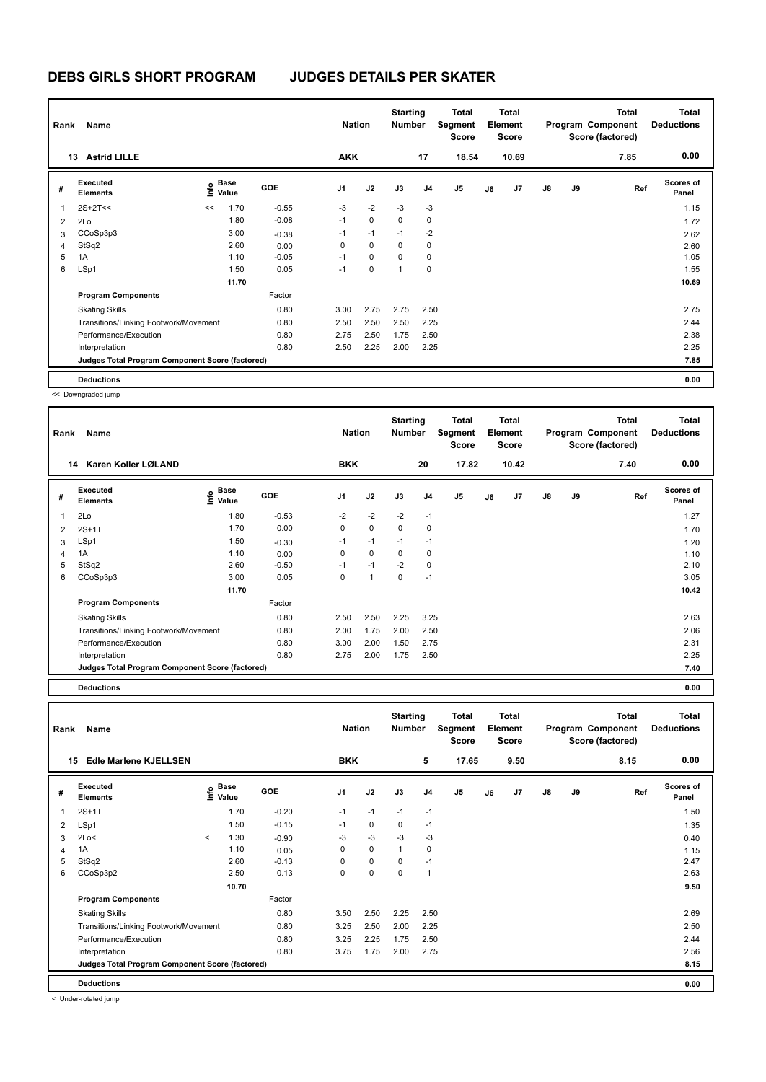| Rank | Name                                            |      |                      |            | <b>Nation</b>  |             | <b>Starting</b><br><b>Number</b> |                | <b>Total</b><br><b>Segment</b><br><b>Score</b> |    | Total<br>Element<br><b>Score</b> |               |    | <b>Total</b><br>Program Component<br>Score (factored) | <b>Total</b><br><b>Deductions</b> |
|------|-------------------------------------------------|------|----------------------|------------|----------------|-------------|----------------------------------|----------------|------------------------------------------------|----|----------------------------------|---------------|----|-------------------------------------------------------|-----------------------------------|
|      | <b>Astrid LILLE</b><br>13                       |      |                      |            | <b>AKK</b>     |             |                                  | 17             | 18.54                                          |    | 10.69                            |               |    | 7.85                                                  | 0.00                              |
| #    | Executed<br><b>Elements</b>                     | lnfo | <b>Base</b><br>Value | <b>GOE</b> | J <sub>1</sub> | J2          | J3                               | J <sub>4</sub> | J5                                             | J6 | J7                               | $\mathsf{J}8$ | J9 | Ref                                                   | <b>Scores of</b><br>Panel         |
| 1    | $2S+2T<<$                                       | <<   | 1.70                 | $-0.55$    | $-3$           | $-2$        | $-3$                             | $-3$           |                                                |    |                                  |               |    |                                                       | 1.15                              |
| 2    | 2Lo                                             |      | 1.80                 | $-0.08$    | $-1$           | $\mathbf 0$ | $\Omega$                         | $\mathbf 0$    |                                                |    |                                  |               |    |                                                       | 1.72                              |
| 3    | CCoSp3p3                                        |      | 3.00                 | $-0.38$    | $-1$           | $-1$        | $-1$                             | $-2$           |                                                |    |                                  |               |    |                                                       | 2.62                              |
| 4    | StSq2                                           |      | 2.60                 | 0.00       | 0              | 0           | 0                                | 0              |                                                |    |                                  |               |    |                                                       | 2.60                              |
| 5    | 1A                                              |      | 1.10                 | $-0.05$    | $-1$           | $\mathbf 0$ | $\Omega$                         | 0              |                                                |    |                                  |               |    |                                                       | 1.05                              |
| 6    | LSp1                                            |      | 1.50                 | 0.05       | $-1$           | 0           | $\mathbf{1}$                     | 0              |                                                |    |                                  |               |    |                                                       | 1.55                              |
|      |                                                 |      | 11.70                |            |                |             |                                  |                |                                                |    |                                  |               |    |                                                       | 10.69                             |
|      | <b>Program Components</b>                       |      |                      | Factor     |                |             |                                  |                |                                                |    |                                  |               |    |                                                       |                                   |
|      | <b>Skating Skills</b>                           |      |                      | 0.80       | 3.00           | 2.75        | 2.75                             | 2.50           |                                                |    |                                  |               |    |                                                       | 2.75                              |
|      | Transitions/Linking Footwork/Movement           |      |                      | 0.80       | 2.50           | 2.50        | 2.50                             | 2.25           |                                                |    |                                  |               |    |                                                       | 2.44                              |
|      | Performance/Execution                           |      |                      | 0.80       | 2.75           | 2.50        | 1.75                             | 2.50           |                                                |    |                                  |               |    |                                                       | 2.38                              |
|      | Interpretation                                  |      |                      | 0.80       | 2.50           | 2.25        | 2.00                             | 2.25           |                                                |    |                                  |               |    |                                                       | 2.25                              |
|      | Judges Total Program Component Score (factored) |      |                      |            |                |             |                                  |                |                                                |    |                                  |               |    |                                                       | 7.85                              |
|      | <b>Deductions</b>                               |      |                      |            |                |             |                                  |                |                                                |    |                                  |               |    |                                                       | 0.00                              |

<< Downgraded jump

| Rank                    | Name                                            | <b>Nation</b>                    |            | <b>Starting</b><br><b>Number</b> |                      | Total<br>Segment<br><b>Score</b> |      | <b>Total</b><br>Element<br><b>Score</b> |    |                | Total<br>Program Component<br>Score (factored) | <b>Total</b><br><b>Deductions</b> |      |                           |
|-------------------------|-------------------------------------------------|----------------------------------|------------|----------------------------------|----------------------|----------------------------------|------|-----------------------------------------|----|----------------|------------------------------------------------|-----------------------------------|------|---------------------------|
|                         | Karen Koller LØLAND<br>14                       |                                  |            | <b>BKK</b>                       |                      |                                  | 20   | 17.82                                   |    | 10.42          |                                                |                                   | 7.40 | 0.00                      |
| #                       | Executed<br><b>Elements</b>                     | <b>Base</b><br>e Base<br>⊆ Value | <b>GOE</b> | J <sub>1</sub>                   | J2                   | J3                               | J4   | J <sub>5</sub>                          | J6 | J <sub>7</sub> | J8                                             | J9                                | Ref  | <b>Scores of</b><br>Panel |
| $\overline{\mathbf{1}}$ | 2Lo                                             | 1.80                             | $-0.53$    | $-2$                             | $-2$                 | $-2$                             | $-1$ |                                         |    |                |                                                |                                   |      | 1.27                      |
| $\overline{2}$          | $2S+1T$                                         | 1.70                             | 0.00       | 0                                | 0                    | $\mathbf 0$                      | 0    |                                         |    |                |                                                |                                   |      | 1.70                      |
| 3                       | LSp1                                            | 1.50                             | $-0.30$    | $-1$                             | $-1$                 | $-1$                             | $-1$ |                                         |    |                |                                                |                                   |      | 1.20                      |
| $\overline{4}$          | 1A                                              | 1.10                             | 0.00       | 0                                | $\mathbf 0$          | 0                                | 0    |                                         |    |                |                                                |                                   |      | 1.10                      |
| 5                       | StSq2                                           | 2.60                             | $-0.50$    | $-1$                             | $-1$                 | $-2$                             | 0    |                                         |    |                |                                                |                                   |      | 2.10                      |
| 6                       | CCoSp3p3                                        | 3.00                             | 0.05       | 0                                | $\blacktriangleleft$ | 0                                | $-1$ |                                         |    |                |                                                |                                   |      | 3.05                      |
|                         |                                                 | 11.70                            |            |                                  |                      |                                  |      |                                         |    |                |                                                |                                   |      | 10.42                     |
|                         | <b>Program Components</b>                       |                                  | Factor     |                                  |                      |                                  |      |                                         |    |                |                                                |                                   |      |                           |
|                         | <b>Skating Skills</b>                           |                                  | 0.80       | 2.50                             | 2.50                 | 2.25                             | 3.25 |                                         |    |                |                                                |                                   |      | 2.63                      |
|                         | Transitions/Linking Footwork/Movement           |                                  | 0.80       | 2.00                             | 1.75                 | 2.00                             | 2.50 |                                         |    |                |                                                |                                   |      | 2.06                      |
|                         | Performance/Execution                           |                                  | 0.80       | 3.00                             | 2.00                 | 1.50                             | 2.75 |                                         |    |                |                                                |                                   |      | 2.31                      |
|                         | Interpretation                                  |                                  | 0.80       | 2.75                             | 2.00                 | 1.75                             | 2.50 |                                         |    |                |                                                |                                   |      | 2.25                      |
|                         | Judges Total Program Component Score (factored) |                                  |            |                                  |                      |                                  |      |                                         |    |                |                                                |                                   |      | 7.40                      |

**Deductions 0.00**

| Rank | Name                                            |         | <b>Nation</b>                    |            | <b>Starting</b><br><b>Number</b> |             | <b>Total</b><br>Segment<br><b>Score</b> |                | Total<br>Element<br><b>Score</b> |    |                | <b>Total</b><br>Program Component<br>Score (factored) | <b>Total</b><br><b>Deductions</b> |      |                           |
|------|-------------------------------------------------|---------|----------------------------------|------------|----------------------------------|-------------|-----------------------------------------|----------------|----------------------------------|----|----------------|-------------------------------------------------------|-----------------------------------|------|---------------------------|
|      | Edle Marlene KJELLSEN<br>15                     |         |                                  |            | <b>BKK</b>                       |             |                                         | 5              | 17.65                            |    | 9.50           |                                                       |                                   | 8.15 | 0.00                      |
| #    | Executed<br><b>Elements</b>                     |         | <b>Base</b><br>e Base<br>⊆ Value | <b>GOE</b> | J <sub>1</sub>                   | J2          | J3                                      | J <sub>4</sub> | J <sub>5</sub>                   | J6 | J <sub>7</sub> | $\mathsf{J}8$                                         | J9                                | Ref  | <b>Scores of</b><br>Panel |
| 1    | $2S+1T$                                         |         | 1.70                             | $-0.20$    | $-1$                             | $-1$        | $-1$                                    | $-1$           |                                  |    |                |                                                       |                                   |      | 1.50                      |
| 2    | LSp1                                            |         | 1.50                             | $-0.15$    | $-1$                             | 0           | 0                                       | $-1$           |                                  |    |                |                                                       |                                   |      | 1.35                      |
| 3    | 2Lo<                                            | $\prec$ | 1.30                             | $-0.90$    | $-3$                             | $-3$        | $-3$                                    | $-3$           |                                  |    |                |                                                       |                                   |      | 0.40                      |
| 4    | 1A                                              |         | 1.10                             | 0.05       | 0                                | $\mathbf 0$ | $\mathbf{1}$                            | 0              |                                  |    |                |                                                       |                                   |      | 1.15                      |
| 5    | StSq2                                           |         | 2.60                             | $-0.13$    | 0                                | $\mathbf 0$ | 0                                       | $-1$           |                                  |    |                |                                                       |                                   |      | 2.47                      |
| 6    | CCoSp3p2                                        |         | 2.50                             | 0.13       | 0                                | 0           | 0                                       | 1              |                                  |    |                |                                                       |                                   |      | 2.63                      |
|      |                                                 |         | 10.70                            |            |                                  |             |                                         |                |                                  |    |                |                                                       |                                   |      | 9.50                      |
|      | <b>Program Components</b>                       |         |                                  | Factor     |                                  |             |                                         |                |                                  |    |                |                                                       |                                   |      |                           |
|      | <b>Skating Skills</b>                           |         |                                  | 0.80       | 3.50                             | 2.50        | 2.25                                    | 2.50           |                                  |    |                |                                                       |                                   |      | 2.69                      |
|      | Transitions/Linking Footwork/Movement           |         |                                  | 0.80       | 3.25                             | 2.50        | 2.00                                    | 2.25           |                                  |    |                |                                                       |                                   |      | 2.50                      |
|      | Performance/Execution                           |         |                                  | 0.80       | 3.25                             | 2.25        | 1.75                                    | 2.50           |                                  |    |                |                                                       |                                   |      | 2.44                      |
|      | Interpretation                                  |         |                                  | 0.80       | 3.75                             | 1.75        | 2.00                                    | 2.75           |                                  |    |                |                                                       |                                   |      | 2.56                      |
|      | Judges Total Program Component Score (factored) |         |                                  |            |                                  |             |                                         |                |                                  |    |                |                                                       |                                   |      | 8.15                      |
|      | <b>Deductions</b>                               |         |                                  |            |                                  |             |                                         |                |                                  |    |                |                                                       |                                   |      | 0.00                      |

< Under-rotated jump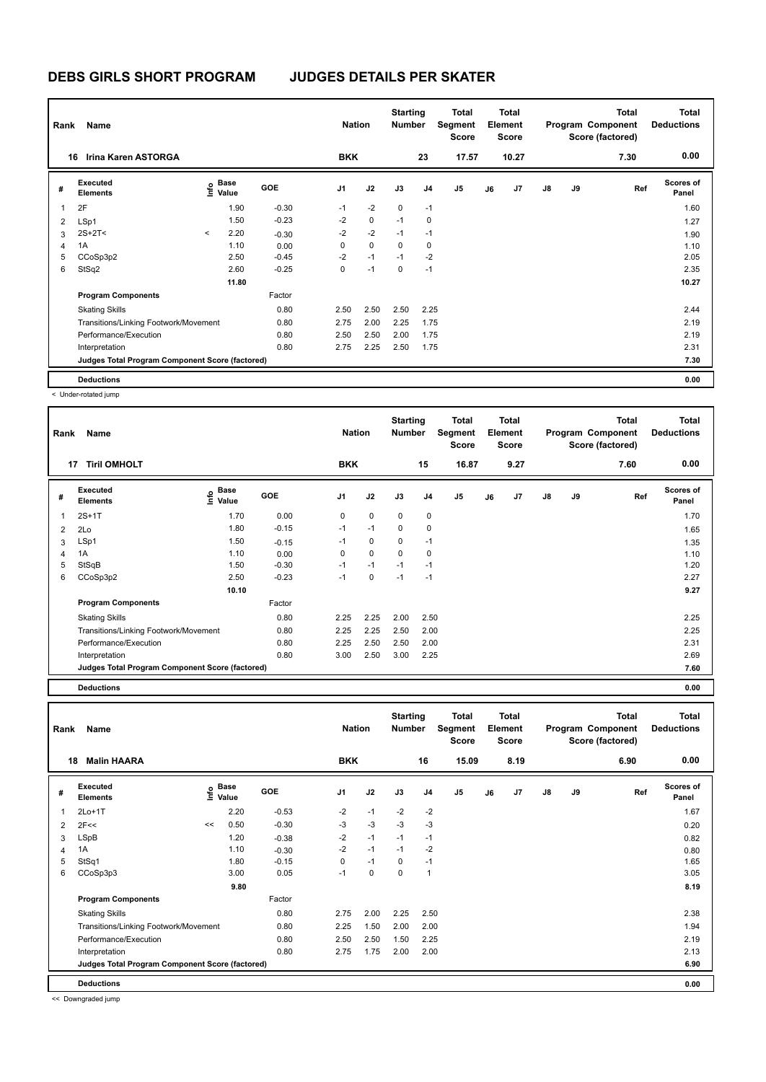| Rank           | Name                                            |         | <b>Nation</b>                               |            | <b>Starting</b><br><b>Number</b> |             | <b>Total</b><br>Segment<br><b>Score</b> |                | Total<br>Element<br><b>Score</b> |    |                | <b>Total</b><br>Program Component<br>Score (factored) | <b>Total</b><br><b>Deductions</b> |      |                    |
|----------------|-------------------------------------------------|---------|---------------------------------------------|------------|----------------------------------|-------------|-----------------------------------------|----------------|----------------------------------|----|----------------|-------------------------------------------------------|-----------------------------------|------|--------------------|
|                | <b>Irina Karen ASTORGA</b><br>16                |         |                                             |            | <b>BKK</b>                       |             |                                         | 23             | 17.57                            |    | 10.27          |                                                       |                                   | 7.30 | 0.00               |
| #              | Executed<br><b>Elements</b>                     |         | <b>Base</b><br>e <sup>Base</sup><br>⊆ Value | <b>GOE</b> | J <sub>1</sub>                   | J2          | J3                                      | J <sub>4</sub> | J <sub>5</sub>                   | J6 | J <sub>7</sub> | $\mathsf{J}8$                                         | J9                                | Ref  | Scores of<br>Panel |
| $\overline{1}$ | 2F                                              |         | 1.90                                        | $-0.30$    | $-1$                             | $-2$        | $\mathbf 0$                             | $-1$           |                                  |    |                |                                                       |                                   |      | 1.60               |
| 2              | LSp1                                            |         | 1.50                                        | $-0.23$    | $-2$                             | $\mathbf 0$ | $-1$                                    | $\mathbf 0$    |                                  |    |                |                                                       |                                   |      | 1.27               |
| 3              | $2S+2T2$                                        | $\prec$ | 2.20                                        | $-0.30$    | $-2$                             | $-2$        | $-1$                                    | $-1$           |                                  |    |                |                                                       |                                   |      | 1.90               |
| 4              | 1A                                              |         | 1.10                                        | 0.00       | 0                                | $\mathbf 0$ | $\Omega$                                | 0              |                                  |    |                |                                                       |                                   |      | 1.10               |
| 5              | CCoSp3p2                                        |         | 2.50                                        | $-0.45$    | $-2$                             | $-1$        | $-1$                                    | $-2$           |                                  |    |                |                                                       |                                   |      | 2.05               |
| 6              | StSq2                                           |         | 2.60                                        | $-0.25$    | 0                                | $-1$        | $\mathbf 0$                             | $-1$           |                                  |    |                |                                                       |                                   |      | 2.35               |
|                |                                                 |         | 11.80                                       |            |                                  |             |                                         |                |                                  |    |                |                                                       |                                   |      | 10.27              |
|                | <b>Program Components</b>                       |         |                                             | Factor     |                                  |             |                                         |                |                                  |    |                |                                                       |                                   |      |                    |
|                | <b>Skating Skills</b>                           |         |                                             | 0.80       | 2.50                             | 2.50        | 2.50                                    | 2.25           |                                  |    |                |                                                       |                                   |      | 2.44               |
|                | Transitions/Linking Footwork/Movement           |         |                                             | 0.80       | 2.75                             | 2.00        | 2.25                                    | 1.75           |                                  |    |                |                                                       |                                   |      | 2.19               |
|                | Performance/Execution                           |         |                                             | 0.80       | 2.50                             | 2.50        | 2.00                                    | 1.75           |                                  |    |                |                                                       |                                   |      | 2.19               |
|                | Interpretation                                  |         |                                             | 0.80       | 2.75                             | 2.25        | 2.50                                    | 1.75           |                                  |    |                |                                                       |                                   |      | 2.31               |
|                | Judges Total Program Component Score (factored) |         |                                             |            |                                  |             |                                         |                |                                  |    |                |                                                       |                                   |      | 7.30               |
|                | <b>Deductions</b>                               |         |                                             |            |                                  |             |                                         |                |                                  |    |                |                                                       |                                   |      | 0.00               |

< Under-rotated jump

| Rank | Name                                            | <b>Nation</b>     |            | <b>Starting</b><br><b>Number</b> |             | Total<br>Segment<br><b>Score</b> |                | <b>Total</b><br>Element<br><b>Score</b> |    |                | Total<br>Program Component<br>Score (factored) | <b>Total</b><br><b>Deductions</b> |      |                           |
|------|-------------------------------------------------|-------------------|------------|----------------------------------|-------------|----------------------------------|----------------|-----------------------------------------|----|----------------|------------------------------------------------|-----------------------------------|------|---------------------------|
|      | <b>Tiril OMHOLT</b><br>17                       |                   |            | <b>BKK</b>                       |             |                                  | 15             | 16.87                                   |    | 9.27           |                                                |                                   | 7.60 | 0.00                      |
| #    | Executed<br><b>Elements</b>                     | e Base<br>⊑ Value | <b>GOE</b> | J <sub>1</sub>                   | J2          | J3                               | J <sub>4</sub> | J <sub>5</sub>                          | J6 | J <sub>7</sub> | J8                                             | J9                                | Ref  | <b>Scores of</b><br>Panel |
| 1    | $2S+1T$                                         | 1.70              | 0.00       | 0                                | $\mathbf 0$ | $\mathbf 0$                      | $\mathbf 0$    |                                         |    |                |                                                |                                   |      | 1.70                      |
| 2    | 2Lo                                             | 1.80              | $-0.15$    | $-1$                             | $-1$        | 0                                | 0              |                                         |    |                |                                                |                                   |      | 1.65                      |
| 3    | LSp1                                            | 1.50              | $-0.15$    | $-1$                             | $\mathbf 0$ | $\mathbf 0$                      | $-1$           |                                         |    |                |                                                |                                   |      | 1.35                      |
| 4    | 1A                                              | 1.10              | 0.00       | 0                                | $\mathbf 0$ | $\Omega$                         | 0              |                                         |    |                |                                                |                                   |      | 1.10                      |
| 5    | StSqB                                           | 1.50              | $-0.30$    | $-1$                             | $-1$        | $-1$                             | $-1$           |                                         |    |                |                                                |                                   |      | 1.20                      |
| 6    | CCoSp3p2                                        | 2.50              | $-0.23$    | $-1$                             | 0           | $-1$                             | $-1$           |                                         |    |                |                                                |                                   |      | 2.27                      |
|      |                                                 | 10.10             |            |                                  |             |                                  |                |                                         |    |                |                                                |                                   |      | 9.27                      |
|      | <b>Program Components</b>                       |                   | Factor     |                                  |             |                                  |                |                                         |    |                |                                                |                                   |      |                           |
|      | <b>Skating Skills</b>                           |                   | 0.80       | 2.25                             | 2.25        | 2.00                             | 2.50           |                                         |    |                |                                                |                                   |      | 2.25                      |
|      | Transitions/Linking Footwork/Movement           |                   | 0.80       | 2.25                             | 2.25        | 2.50                             | 2.00           |                                         |    |                |                                                |                                   |      | 2.25                      |
|      | Performance/Execution                           |                   | 0.80       | 2.25                             | 2.50        | 2.50                             | 2.00           |                                         |    |                |                                                |                                   |      | 2.31                      |
|      | Interpretation                                  |                   | 0.80       | 3.00                             | 2.50        | 3.00                             | 2.25           |                                         |    |                |                                                |                                   |      | 2.69                      |
|      | Judges Total Program Component Score (factored) |                   |            |                                  |             |                                  |                |                                         |    |                |                                                |                                   |      | 7.60                      |

**Deductions 0.00**

| Rank | Name                                            |    | <b>Nation</b>                               |            | <b>Starting</b><br><b>Number</b> |             | Total<br>Segment<br><b>Score</b> |                | <b>Total</b><br>Element<br>Score |    |                | <b>Total</b><br>Program Component<br>Score (factored) | <b>Total</b><br><b>Deductions</b> |      |                           |
|------|-------------------------------------------------|----|---------------------------------------------|------------|----------------------------------|-------------|----------------------------------|----------------|----------------------------------|----|----------------|-------------------------------------------------------|-----------------------------------|------|---------------------------|
|      | <b>Malin HAARA</b><br>18                        |    |                                             |            | <b>BKK</b>                       |             |                                  | 16             | 15.09                            |    | 8.19           |                                                       |                                   | 6.90 | 0.00                      |
| #    | Executed<br><b>Elements</b>                     |    | <b>Base</b><br>e <sup>Base</sup><br>⊆ Value | <b>GOE</b> | J <sub>1</sub>                   | J2          | J3                               | J <sub>4</sub> | J5                               | J6 | J <sub>7</sub> | $\mathsf{J}8$                                         | J9                                | Ref  | <b>Scores of</b><br>Panel |
| 1    | $2Lo+1T$                                        |    | 2.20                                        | $-0.53$    | $-2$                             | $-1$        | $-2$                             | $-2$           |                                  |    |                |                                                       |                                   |      | 1.67                      |
| 2    | 2F<<                                            | << | 0.50                                        | $-0.30$    | $-3$                             | $-3$        | $-3$                             | $-3$           |                                  |    |                |                                                       |                                   |      | 0.20                      |
| 3    | LSpB                                            |    | 1.20                                        | $-0.38$    | $-2$                             | $-1$        | $-1$                             | $-1$           |                                  |    |                |                                                       |                                   |      | 0.82                      |
| 4    | 1A                                              |    | 1.10                                        | $-0.30$    | $-2$                             | $-1$        | $-1$                             | $-2$           |                                  |    |                |                                                       |                                   |      | 0.80                      |
| 5    | StSq1                                           |    | 1.80                                        | $-0.15$    | 0                                | $-1$        | $\mathbf 0$                      | $-1$           |                                  |    |                |                                                       |                                   |      | 1.65                      |
| 6    | CCoSp3p3                                        |    | 3.00                                        | 0.05       | $-1$                             | $\mathbf 0$ | $\mathbf 0$                      | $\overline{1}$ |                                  |    |                |                                                       |                                   |      | 3.05                      |
|      |                                                 |    | 9.80                                        |            |                                  |             |                                  |                |                                  |    |                |                                                       |                                   |      | 8.19                      |
|      | <b>Program Components</b>                       |    |                                             | Factor     |                                  |             |                                  |                |                                  |    |                |                                                       |                                   |      |                           |
|      | <b>Skating Skills</b>                           |    |                                             | 0.80       | 2.75                             | 2.00        | 2.25                             | 2.50           |                                  |    |                |                                                       |                                   |      | 2.38                      |
|      | Transitions/Linking Footwork/Movement           |    |                                             | 0.80       | 2.25                             | 1.50        | 2.00                             | 2.00           |                                  |    |                |                                                       |                                   |      | 1.94                      |
|      | Performance/Execution                           |    |                                             | 0.80       | 2.50                             | 2.50        | 1.50                             | 2.25           |                                  |    |                |                                                       |                                   |      | 2.19                      |
|      | Interpretation                                  |    |                                             | 0.80       | 2.75                             | 1.75        | 2.00                             | 2.00           |                                  |    |                |                                                       |                                   |      | 2.13                      |
|      | Judges Total Program Component Score (factored) |    |                                             |            |                                  |             |                                  |                |                                  |    |                |                                                       |                                   |      | 6.90                      |
|      | <b>Deductions</b>                               |    |                                             |            |                                  |             |                                  |                |                                  |    |                |                                                       |                                   |      | 0.00                      |

<< Downgraded jump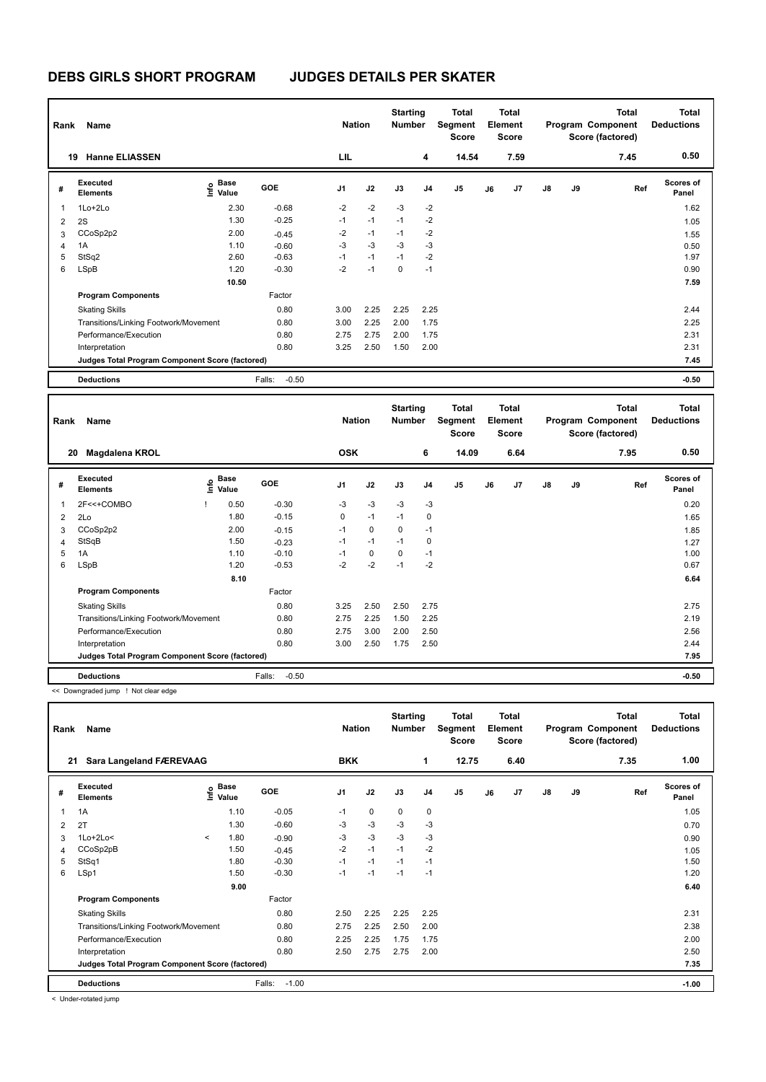# **DEBS GIRLS SHORT PROGRAM JUDGES DETAILS PER SKATER**

| Rank | Name<br><b>Hanne ELIASSEN</b><br>19             |                                             |                   | <b>Nation</b>  |      | <b>Starting</b><br><b>Number</b> |                | Total<br>Segment<br>Score |    | <b>Total</b><br>Element<br><b>Score</b> |               |    | <b>Total</b><br>Program Component<br>Score (factored) | <b>Total</b><br><b>Deductions</b> |
|------|-------------------------------------------------|---------------------------------------------|-------------------|----------------|------|----------------------------------|----------------|---------------------------|----|-----------------------------------------|---------------|----|-------------------------------------------------------|-----------------------------------|
|      |                                                 |                                             |                   | LIL            |      |                                  | 4              | 14.54                     |    | 7.59                                    |               |    | 7.45                                                  | 0.50                              |
| #    | <b>Executed</b><br><b>Elements</b>              | <b>Base</b><br>e <sup>Base</sup><br>⊆ Value | <b>GOE</b>        | J <sub>1</sub> | J2   | J3                               | J <sub>4</sub> | J <sub>5</sub>            | J6 | J7                                      | $\mathsf{J}8$ | J9 | Ref                                                   | <b>Scores of</b><br>Panel         |
| 1    | 1Lo+2Lo                                         | 2.30                                        | $-0.68$           | $-2$           | $-2$ | $-3$                             | $-2$           |                           |    |                                         |               |    |                                                       | 1.62                              |
| 2    | 2S                                              | 1.30                                        | $-0.25$           | $-1$           | $-1$ | $-1$                             | $-2$           |                           |    |                                         |               |    |                                                       | 1.05                              |
| 3    | CCoSp2p2                                        | 2.00                                        | $-0.45$           | $-2$           | $-1$ | $-1$                             | $-2$           |                           |    |                                         |               |    |                                                       | 1.55                              |
| 4    | 1A                                              | 1.10                                        | $-0.60$           | $-3$           | $-3$ | $-3$                             | $-3$           |                           |    |                                         |               |    |                                                       | 0.50                              |
| 5    | StSq2                                           | 2.60                                        | $-0.63$           | $-1$           | $-1$ | $-1$                             | $-2$           |                           |    |                                         |               |    |                                                       | 1.97                              |
| 6    | <b>LSpB</b>                                     | 1.20                                        | $-0.30$           | $-2$           | $-1$ | 0                                | $-1$           |                           |    |                                         |               |    |                                                       | 0.90                              |
|      |                                                 | 10.50                                       |                   |                |      |                                  |                |                           |    |                                         |               |    |                                                       | 7.59                              |
|      | <b>Program Components</b>                       |                                             | Factor            |                |      |                                  |                |                           |    |                                         |               |    |                                                       |                                   |
|      | <b>Skating Skills</b>                           |                                             | 0.80              | 3.00           | 2.25 | 2.25                             | 2.25           |                           |    |                                         |               |    |                                                       | 2.44                              |
|      | Transitions/Linking Footwork/Movement           |                                             | 0.80              | 3.00           | 2.25 | 2.00                             | 1.75           |                           |    |                                         |               |    |                                                       | 2.25                              |
|      | Performance/Execution                           |                                             | 0.80              | 2.75           | 2.75 | 2.00                             | 1.75           |                           |    |                                         |               |    |                                                       | 2.31                              |
|      | Interpretation                                  |                                             | 0.80              | 3.25           | 2.50 | 1.50                             | 2.00           |                           |    |                                         |               |    |                                                       | 2.31                              |
|      | Judges Total Program Component Score (factored) |                                             |                   |                |      |                                  |                |                           |    |                                         |               |    |                                                       | 7.45                              |
|      | <b>Deductions</b>                               |                                             | $-0.50$<br>Falls: |                |      |                                  |                |                           |    |                                         |               |    |                                                       | $-0.50$                           |

| Rank | Name<br>20                                      |      |                      |                   | <b>Nation</b>  |             | <b>Starting</b><br><b>Number</b> |                | Total<br>Segment<br><b>Score</b> |    | <b>Total</b><br>Element<br><b>Score</b> |               |    | <b>Total</b><br>Program Component<br>Score (factored) | Total<br><b>Deductions</b> |
|------|-------------------------------------------------|------|----------------------|-------------------|----------------|-------------|----------------------------------|----------------|----------------------------------|----|-----------------------------------------|---------------|----|-------------------------------------------------------|----------------------------|
|      | Magdalena KROL                                  |      |                      |                   | <b>OSK</b>     |             |                                  | 6              | 14.09                            |    | 6.64                                    |               |    | 7.95                                                  | 0.50                       |
| #    | Executed<br><b>Elements</b>                     | lnfo | <b>Base</b><br>Value | GOE               | J <sub>1</sub> | J2          | J3                               | J <sub>4</sub> | J5                               | J6 | J7                                      | $\mathsf{J}8$ | J9 | Ref                                                   | Scores of<br>Panel         |
| 1    | 2F<<+COMBO                                      |      | 0.50                 | $-0.30$           | $-3$           | $-3$        | $-3$                             | $-3$           |                                  |    |                                         |               |    |                                                       | 0.20                       |
| 2    | 2Lo                                             |      | 1.80                 | $-0.15$           | 0              | $-1$        | $-1$                             | 0              |                                  |    |                                         |               |    |                                                       | 1.65                       |
| 3    | CCoSp2p2                                        |      | 2.00                 | $-0.15$           | $-1$           | $\mathbf 0$ | $\Omega$                         | $-1$           |                                  |    |                                         |               |    |                                                       | 1.85                       |
| 4    | StSqB                                           |      | 1.50                 | $-0.23$           | $-1$           | $-1$        | $-1$                             | 0              |                                  |    |                                         |               |    |                                                       | 1.27                       |
| 5    | 1A                                              |      | 1.10                 | $-0.10$           | $-1$           | 0           | $\Omega$                         | $-1$           |                                  |    |                                         |               |    |                                                       | 1.00                       |
| 6    | LSpB                                            |      | 1.20                 | $-0.53$           | $-2$           | $-2$        | $-1$                             | $-2$           |                                  |    |                                         |               |    |                                                       | 0.67                       |
|      |                                                 |      | 8.10                 |                   |                |             |                                  |                |                                  |    |                                         |               |    |                                                       | 6.64                       |
|      | <b>Program Components</b>                       |      |                      | Factor            |                |             |                                  |                |                                  |    |                                         |               |    |                                                       |                            |
|      | <b>Skating Skills</b>                           |      |                      | 0.80              | 3.25           | 2.50        | 2.50                             | 2.75           |                                  |    |                                         |               |    |                                                       | 2.75                       |
|      | Transitions/Linking Footwork/Movement           |      |                      | 0.80              | 2.75           | 2.25        | 1.50                             | 2.25           |                                  |    |                                         |               |    |                                                       | 2.19                       |
|      | Performance/Execution                           |      |                      | 0.80              | 2.75           | 3.00        | 2.00                             | 2.50           |                                  |    |                                         |               |    |                                                       | 2.56                       |
|      | Interpretation                                  |      |                      | 0.80              | 3.00           | 2.50        | 1.75                             | 2.50           |                                  |    |                                         |               |    |                                                       | 2.44                       |
|      | Judges Total Program Component Score (factored) |      |                      |                   |                |             |                                  |                |                                  |    |                                         |               |    |                                                       | 7.95                       |
|      | <b>Deductions</b>                               |      |                      | $-0.50$<br>Falls: |                |             |                                  |                |                                  |    |                                         |               |    |                                                       | $-0.50$                    |

<< Downgraded jump ! Not clear edge

| Rank | <b>Name</b>                                     |         | <b>Nation</b>                      |                   | <b>Starting</b><br><b>Number</b> |             | Total<br>Segment<br><b>Score</b> |                | <b>Total</b><br>Element<br><b>Score</b> |    |      | <b>Total</b><br>Program Component<br>Score (factored) | <b>Total</b><br><b>Deductions</b> |      |                    |
|------|-------------------------------------------------|---------|------------------------------------|-------------------|----------------------------------|-------------|----------------------------------|----------------|-----------------------------------------|----|------|-------------------------------------------------------|-----------------------------------|------|--------------------|
| 21   | Sara Langeland FÆREVAAG                         |         |                                    |                   | <b>BKK</b>                       |             |                                  | 1              | 12.75                                   |    | 6.40 |                                                       |                                   | 7.35 | 1.00               |
| #    | Executed<br><b>Elements</b>                     |         | <b>Base</b><br>$\frac{6}{5}$ Value | GOE               | J <sub>1</sub>                   | J2          | J3                               | J <sub>4</sub> | J5                                      | J6 | J7   | $\mathsf{J}8$                                         | J9                                | Ref  | Scores of<br>Panel |
| 1    | 1A                                              |         | 1.10                               | $-0.05$           | $-1$                             | $\mathbf 0$ | 0                                | 0              |                                         |    |      |                                                       |                                   |      | 1.05               |
| 2    | 2T                                              |         | 1.30                               | $-0.60$           | $-3$                             | $-3$        | $-3$                             | $-3$           |                                         |    |      |                                                       |                                   |      | 0.70               |
| 3    | $1$ Lo $+2$ Lo $<$                              | $\prec$ | 1.80                               | $-0.90$           | $-3$                             | $-3$        | $-3$                             | $-3$           |                                         |    |      |                                                       |                                   |      | 0.90               |
| 4    | CCoSp2pB                                        |         | 1.50                               | $-0.45$           | $-2$                             | $-1$        | $-1$                             | $-2$           |                                         |    |      |                                                       |                                   |      | 1.05               |
| 5    | StSq1                                           |         | 1.80                               | $-0.30$           | $-1$                             | $-1$        | $-1$                             | $-1$           |                                         |    |      |                                                       |                                   |      | 1.50               |
| 6    | LSp1                                            |         | 1.50                               | $-0.30$           | $-1$                             | $-1$        | $-1$                             | $-1$           |                                         |    |      |                                                       |                                   |      | 1.20               |
|      |                                                 |         | 9.00                               |                   |                                  |             |                                  |                |                                         |    |      |                                                       |                                   |      | 6.40               |
|      | <b>Program Components</b>                       |         |                                    | Factor            |                                  |             |                                  |                |                                         |    |      |                                                       |                                   |      |                    |
|      | <b>Skating Skills</b>                           |         |                                    | 0.80              | 2.50                             | 2.25        | 2.25                             | 2.25           |                                         |    |      |                                                       |                                   |      | 2.31               |
|      | Transitions/Linking Footwork/Movement           |         |                                    | 0.80              | 2.75                             | 2.25        | 2.50                             | 2.00           |                                         |    |      |                                                       |                                   |      | 2.38               |
|      | Performance/Execution                           |         |                                    | 0.80              | 2.25                             | 2.25        | 1.75                             | 1.75           |                                         |    |      |                                                       |                                   |      | 2.00               |
|      | Interpretation                                  |         |                                    | 0.80              | 2.50                             | 2.75        | 2.75                             | 2.00           |                                         |    |      |                                                       |                                   |      | 2.50               |
|      | Judges Total Program Component Score (factored) |         |                                    |                   |                                  |             |                                  |                |                                         |    |      |                                                       |                                   |      | 7.35               |
|      | <b>Deductions</b>                               |         |                                    | Falls:<br>$-1.00$ |                                  |             |                                  |                |                                         |    |      |                                                       |                                   |      | $-1.00$            |

< Under-rotated jump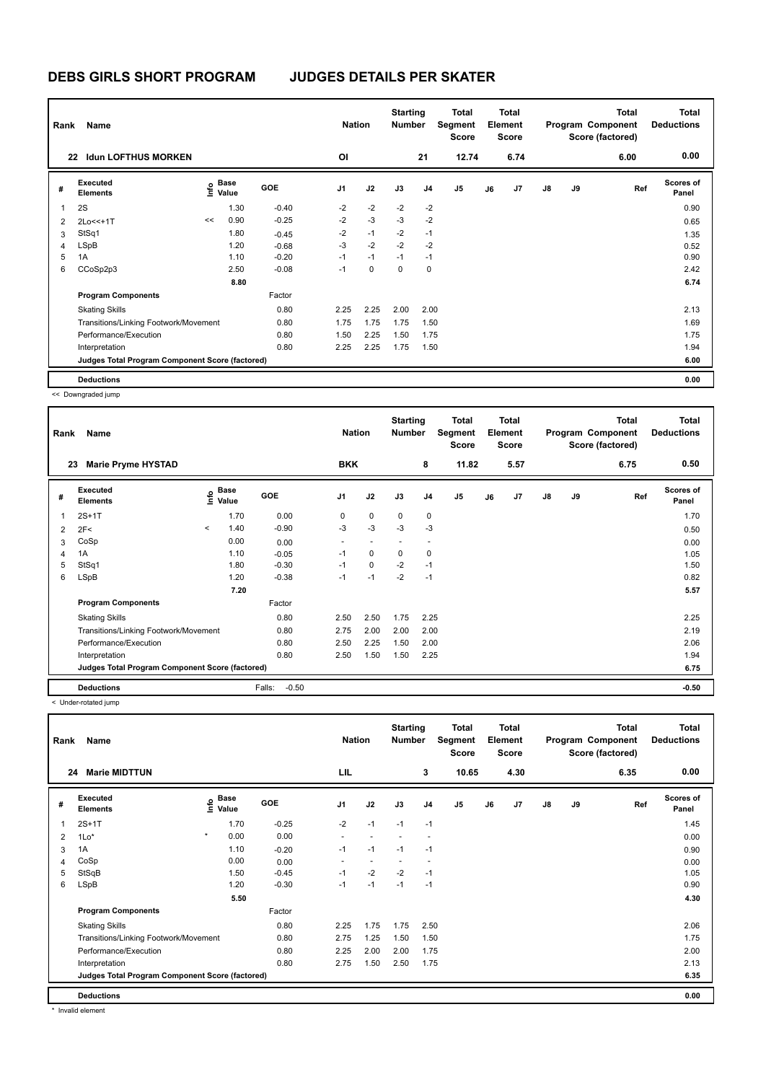| Rank | Name                                            |    | <b>Nation</b>                               |            | <b>Starting</b><br><b>Number</b> |      | <b>Total</b><br>Segment<br><b>Score</b> |                | <b>Total</b><br><b>Element</b><br><b>Score</b> |    |      | <b>Total</b><br>Program Component<br>Score (factored) | <b>Total</b><br><b>Deductions</b> |      |                           |
|------|-------------------------------------------------|----|---------------------------------------------|------------|----------------------------------|------|-----------------------------------------|----------------|------------------------------------------------|----|------|-------------------------------------------------------|-----------------------------------|------|---------------------------|
|      | <b>Idun LOFTHUS MORKEN</b><br>22                |    |                                             |            | OI                               |      |                                         | 21             | 12.74                                          |    | 6.74 |                                                       |                                   | 6.00 | 0.00                      |
| #    | <b>Executed</b><br><b>Elements</b>              |    | <b>Base</b><br>e <sup>Base</sup><br>⊆ Value | <b>GOE</b> | J <sub>1</sub>                   | J2   | J3                                      | J <sub>4</sub> | J <sub>5</sub>                                 | J6 | J7   | $\mathsf{J}8$                                         | J9                                | Ref  | <b>Scores of</b><br>Panel |
| 1    | 2S                                              |    | 1.30                                        | $-0.40$    | $-2$                             | $-2$ | $-2$                                    | $-2$           |                                                |    |      |                                                       |                                   |      | 0.90                      |
| 2    | 2Lo<<+1T                                        | << | 0.90                                        | $-0.25$    | $-2$                             | $-3$ | $-3$                                    | $-2$           |                                                |    |      |                                                       |                                   |      | 0.65                      |
| 3    | StSq1                                           |    | 1.80                                        | $-0.45$    | $-2$                             | $-1$ | $-2$                                    | $-1$           |                                                |    |      |                                                       |                                   |      | 1.35                      |
| 4    | LSpB                                            |    | 1.20                                        | $-0.68$    | $-3$                             | $-2$ | $-2$                                    | $-2$           |                                                |    |      |                                                       |                                   |      | 0.52                      |
| 5    | 1A                                              |    | 1.10                                        | $-0.20$    | $-1$                             | $-1$ | $-1$                                    | $-1$           |                                                |    |      |                                                       |                                   |      | 0.90                      |
| 6    | CCoSp2p3                                        |    | 2.50                                        | $-0.08$    | $-1$                             | 0    | 0                                       | 0              |                                                |    |      |                                                       |                                   |      | 2.42                      |
|      |                                                 |    | 8.80                                        |            |                                  |      |                                         |                |                                                |    |      |                                                       |                                   |      | 6.74                      |
|      | <b>Program Components</b>                       |    |                                             | Factor     |                                  |      |                                         |                |                                                |    |      |                                                       |                                   |      |                           |
|      | <b>Skating Skills</b>                           |    |                                             | 0.80       | 2.25                             | 2.25 | 2.00                                    | 2.00           |                                                |    |      |                                                       |                                   |      | 2.13                      |
|      | Transitions/Linking Footwork/Movement           |    |                                             | 0.80       | 1.75                             | 1.75 | 1.75                                    | 1.50           |                                                |    |      |                                                       |                                   |      | 1.69                      |
|      | Performance/Execution                           |    |                                             | 0.80       | 1.50                             | 2.25 | 1.50                                    | 1.75           |                                                |    |      |                                                       |                                   |      | 1.75                      |
|      | Interpretation                                  |    |                                             | 0.80       | 2.25                             | 2.25 | 1.75                                    | 1.50           |                                                |    |      |                                                       |                                   |      | 1.94                      |
|      | Judges Total Program Component Score (factored) |    |                                             |            |                                  |      |                                         |                |                                                |    |      |                                                       |                                   |      | 6.00                      |
|      | <b>Deductions</b>                               |    |                                             |            |                                  |      |                                         |                |                                                |    |      |                                                       |                                   |      | 0.00                      |

<< Downgraded jump

| Rank | Name                                            |         | <b>Nation</b>                    |                   | <b>Starting</b><br><b>Number</b> |             | Total<br>Segment<br><b>Score</b> |                | Total<br>Element<br><b>Score</b> |    |                | <b>Total</b><br>Program Component<br>Score (factored) | <b>Total</b><br><b>Deductions</b> |      |                           |
|------|-------------------------------------------------|---------|----------------------------------|-------------------|----------------------------------|-------------|----------------------------------|----------------|----------------------------------|----|----------------|-------------------------------------------------------|-----------------------------------|------|---------------------------|
|      | <b>Marie Pryme HYSTAD</b><br>23                 |         |                                  |                   | <b>BKK</b>                       |             |                                  | 8              | 11.82                            |    | 5.57           |                                                       |                                   | 6.75 | 0.50                      |
| #    | <b>Executed</b><br><b>Elements</b>              |         | <b>Base</b><br>e Base<br>⊑ Value | <b>GOE</b>        | J <sub>1</sub>                   | J2          | J3                               | J <sub>4</sub> | J <sub>5</sub>                   | J6 | J <sub>7</sub> | J8                                                    | J9                                | Ref  | <b>Scores of</b><br>Panel |
| 1    | $2S+1T$                                         |         | 1.70                             | 0.00              | 0                                | $\mathbf 0$ | $\mathbf 0$                      | 0              |                                  |    |                |                                                       |                                   |      | 1.70                      |
| 2    | 2F<                                             | $\prec$ | 1.40                             | $-0.90$           | $-3$                             | $-3$        | $-3$                             | $-3$           |                                  |    |                |                                                       |                                   |      | 0.50                      |
| 3    | CoSp                                            |         | 0.00                             | 0.00              |                                  |             |                                  |                |                                  |    |                |                                                       |                                   |      | 0.00                      |
| 4    | 1A                                              |         | 1.10                             | $-0.05$           | $-1$                             | 0           | $\mathbf 0$                      | 0              |                                  |    |                |                                                       |                                   |      | 1.05                      |
| 5    | StSq1                                           |         | 1.80                             | $-0.30$           | $-1$                             | $\mathbf 0$ | $-2$                             | $-1$           |                                  |    |                |                                                       |                                   |      | 1.50                      |
| 6    | LSpB                                            |         | 1.20                             | $-0.38$           | $-1$                             | $-1$        | $-2$                             | $-1$           |                                  |    |                |                                                       |                                   |      | 0.82                      |
|      |                                                 |         | 7.20                             |                   |                                  |             |                                  |                |                                  |    |                |                                                       |                                   |      | 5.57                      |
|      | <b>Program Components</b>                       |         |                                  | Factor            |                                  |             |                                  |                |                                  |    |                |                                                       |                                   |      |                           |
|      | <b>Skating Skills</b>                           |         |                                  | 0.80              | 2.50                             | 2.50        | 1.75                             | 2.25           |                                  |    |                |                                                       |                                   |      | 2.25                      |
|      | Transitions/Linking Footwork/Movement           |         |                                  | 0.80              | 2.75                             | 2.00        | 2.00                             | 2.00           |                                  |    |                |                                                       |                                   |      | 2.19                      |
|      | Performance/Execution                           |         |                                  | 0.80              | 2.50                             | 2.25        | 1.50                             | 2.00           |                                  |    |                |                                                       |                                   |      | 2.06                      |
|      | Interpretation                                  |         |                                  | 0.80              | 2.50                             | 1.50        | 1.50                             | 2.25           |                                  |    |                |                                                       |                                   |      | 1.94                      |
|      | Judges Total Program Component Score (factored) |         |                                  |                   |                                  |             |                                  |                |                                  |    |                |                                                       |                                   |      | 6.75                      |
|      | <b>Deductions</b>                               |         |                                  | Falls:<br>$-0.50$ |                                  |             |                                  |                |                                  |    |                |                                                       |                                   |      | $-0.50$                   |

< Under-rotated jump

| Rank           | Name                                            |         | <b>Nation</b>        |            | <b>Starting</b><br><b>Number</b> |                          | <b>Total</b><br>Segment<br>Score |                | <b>Total</b><br>Element<br><b>Score</b> |    |      | <b>Total</b><br>Program Component<br>Score (factored) | <b>Total</b><br><b>Deductions</b> |      |                    |
|----------------|-------------------------------------------------|---------|----------------------|------------|----------------------------------|--------------------------|----------------------------------|----------------|-----------------------------------------|----|------|-------------------------------------------------------|-----------------------------------|------|--------------------|
| 24             | <b>Marie MIDTTUN</b>                            |         |                      |            | LIL                              |                          |                                  | 3              | 10.65                                   |    | 4.30 |                                                       |                                   | 6.35 | 0.00               |
| #              | Executed<br><b>Elements</b>                     | Info    | <b>Base</b><br>Value | <b>GOE</b> | J <sub>1</sub>                   | J2                       | J3                               | J <sub>4</sub> | J <sub>5</sub>                          | J6 | J7   | $\mathsf{J}8$                                         | J9                                | Ref  | Scores of<br>Panel |
|                | $2S+1T$                                         |         | 1.70                 | $-0.25$    | $-2$                             | $-1$                     | $-1$                             | $-1$           |                                         |    |      |                                                       |                                   |      | 1.45               |
| $\overline{2}$ | $1Lo*$                                          | $\star$ | 0.00                 | 0.00       |                                  |                          |                                  |                |                                         |    |      |                                                       |                                   |      | 0.00               |
| 3              | 1A                                              |         | 1.10                 | $-0.20$    | $-1$                             | $-1$                     | $-1$                             | $-1$           |                                         |    |      |                                                       |                                   |      | 0.90               |
| 4              | CoSp                                            |         | 0.00                 | 0.00       | ٠                                | $\overline{\phantom{a}}$ | $\overline{\phantom{a}}$         |                |                                         |    |      |                                                       |                                   |      | 0.00               |
| 5              | StSqB                                           |         | 1.50                 | $-0.45$    | $-1$                             | $-2$                     | $-2$                             | $-1$           |                                         |    |      |                                                       |                                   |      | 1.05               |
| 6              | LSpB                                            |         | 1.20                 | $-0.30$    | $-1$                             | $-1$                     | $-1$                             | $-1$           |                                         |    |      |                                                       |                                   |      | 0.90               |
|                |                                                 |         | 5.50                 |            |                                  |                          |                                  |                |                                         |    |      |                                                       |                                   |      | 4.30               |
|                | <b>Program Components</b>                       |         |                      | Factor     |                                  |                          |                                  |                |                                         |    |      |                                                       |                                   |      |                    |
|                | <b>Skating Skills</b>                           |         |                      | 0.80       | 2.25                             | 1.75                     | 1.75                             | 2.50           |                                         |    |      |                                                       |                                   |      | 2.06               |
|                | Transitions/Linking Footwork/Movement           |         |                      | 0.80       | 2.75                             | 1.25                     | 1.50                             | 1.50           |                                         |    |      |                                                       |                                   |      | 1.75               |
|                | Performance/Execution                           |         |                      | 0.80       | 2.25                             | 2.00                     | 2.00                             | 1.75           |                                         |    |      |                                                       |                                   |      | 2.00               |
|                | Interpretation                                  |         |                      | 0.80       | 2.75                             | 1.50                     | 2.50                             | 1.75           |                                         |    |      |                                                       |                                   |      | 2.13               |
|                | Judges Total Program Component Score (factored) |         |                      |            |                                  |                          |                                  |                |                                         |    |      |                                                       |                                   |      | 6.35               |
|                | <b>Deductions</b>                               |         |                      |            |                                  |                          |                                  |                |                                         |    |      |                                                       |                                   |      | 0.00               |

\* Invalid element